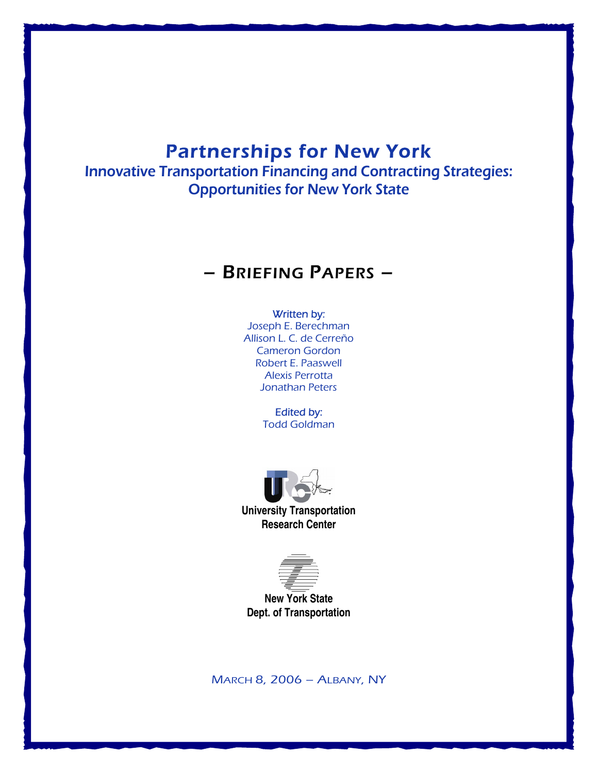# Partnerships for New York

Innovative Transportation Financing and Contracting Strategies: Opportunities for New York State

# – BRIEFING PAPERS –

## Written by:

Joseph E. Berechman Allison L. C. de Cerreño Cameron Gordon Robert E. Paaswell Alexis Perrotta Jonathan Peters

> Edited by: Todd Goldman



**University Transportation Research Center**



**New York State Dept. of Transportation**

MARCH 8, 2006 – ALBANY, NY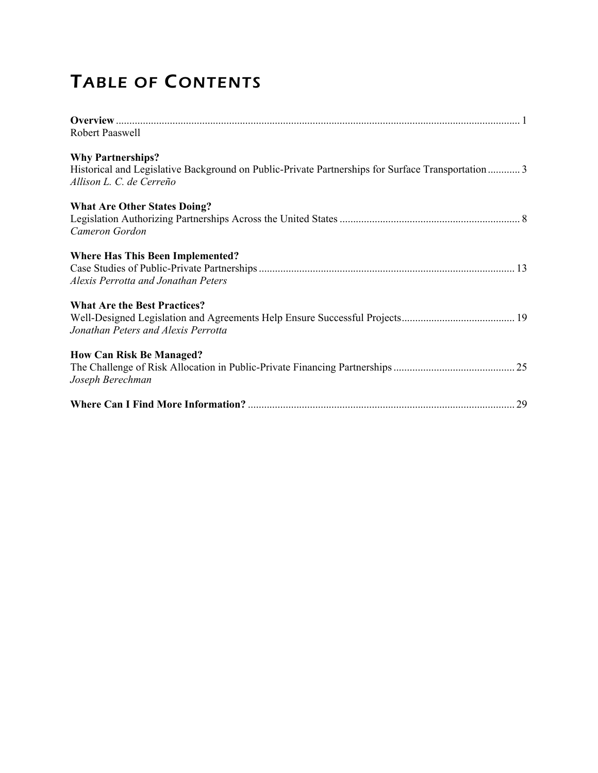# TABLE OF CONTENTS

| Robert Paaswell                                                                                                                                           |
|-----------------------------------------------------------------------------------------------------------------------------------------------------------|
| <b>Why Partnerships?</b><br>Historical and Legislative Background on Public-Private Partnerships for Surface Transportation 3<br>Allison L. C. de Cerreño |
| <b>What Are Other States Doing?</b><br>Cameron Gordon                                                                                                     |
| <b>Where Has This Been Implemented?</b><br>Alexis Perrotta and Jonathan Peters                                                                            |
| <b>What Are the Best Practices?</b><br>Jonathan Peters and Alexis Perrotta                                                                                |
| <b>How Can Risk Be Managed?</b><br>Joseph Berechman                                                                                                       |
| .29                                                                                                                                                       |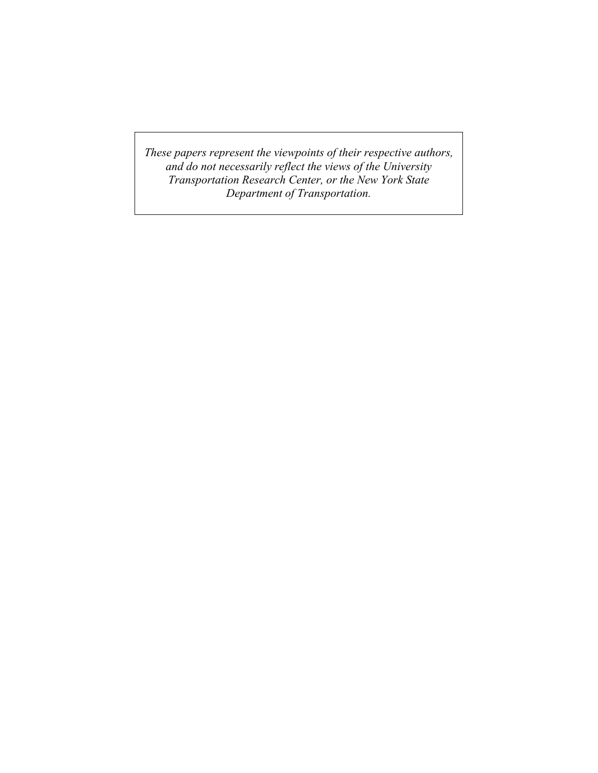*These papers represent the viewpoints of their respective authors, and do not necessarily reflect the views of the University Transportation Research Center, or the New York State Department of Transportation.*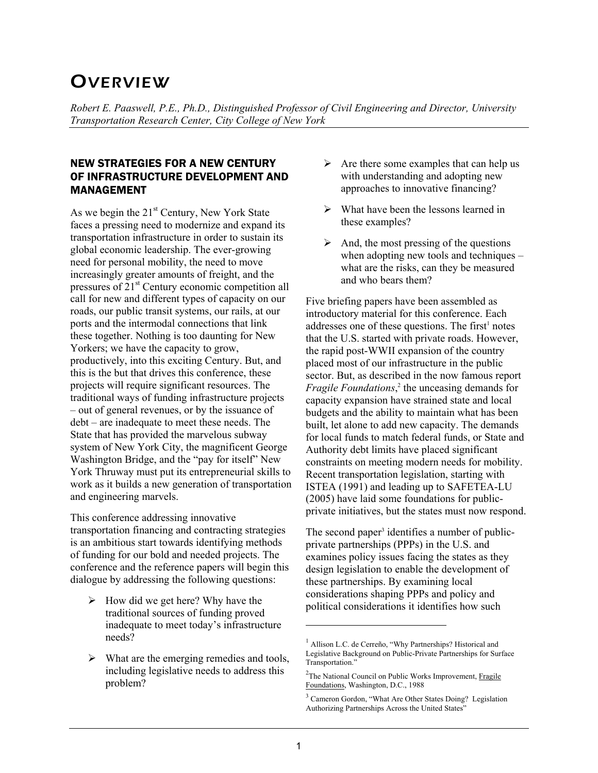# **OVERVIEW**

*Robert E. Paaswell, P.E., Ph.D., Distinguished Professor of Civil Engineering and Director, University Transportation Research Center, City College of New York* 

# NEW STRATEGIES FOR A NEW CENTURY OF INFRASTRUCTURE DEVELOPMENT AND MANAGEMENT

As we begin the  $21<sup>st</sup>$  Century, New York State faces a pressing need to modernize and expand its transportation infrastructure in order to sustain its global economic leadership. The ever-growing need for personal mobility, the need to move increasingly greater amounts of freight, and the pressures of 21<sup>st</sup> Century economic competition all call for new and different types of capacity on our roads, our public transit systems, our rails, at our ports and the intermodal connections that link these together. Nothing is too daunting for New Yorkers; we have the capacity to grow, productively, into this exciting Century. But, and this is the but that drives this conference, these projects will require significant resources. The traditional ways of funding infrastructure projects – out of general revenues, or by the issuance of debt – are inadequate to meet these needs. The State that has provided the marvelous subway system of New York City, the magnificent George Washington Bridge, and the "pay for itself" New York Thruway must put its entrepreneurial skills to work as it builds a new generation of transportation and engineering marvels.

This conference addressing innovative transportation financing and contracting strategies is an ambitious start towards identifying methods of funding for our bold and needed projects. The conference and the reference papers will begin this dialogue by addressing the following questions:

- $\triangleright$  How did we get here? Why have the traditional sources of funding proved inadequate to meet today's infrastructure needs?
- $\triangleright$  What are the emerging remedies and tools, including legislative needs to address this problem?
- $\triangleright$  Are there some examples that can help us with understanding and adopting new approaches to innovative financing?
- $\triangleright$  What have been the lessons learned in these examples?
- $\triangleright$  And, the most pressing of the questions when adopting new tools and techniques – what are the risks, can they be measured and who bears them?

Five briefing papers have been assembled as introductory material for this conference. Each addresses one of these questions. The first<sup>1</sup> notes that the U.S. started with private roads. However, the rapid post-WWII expansion of the country placed most of our infrastructure in the public sector. But, as described in the now famous report *Fragile Foundations*,<sup>2</sup> the unceasing demands for capacity expansion have strained state and local budgets and the ability to maintain what has been built, let alone to add new capacity. The demands for local funds to match federal funds, or State and Authority debt limits have placed significant constraints on meeting modern needs for mobility. Recent transportation legislation, starting with ISTEA (1991) and leading up to SAFETEA-LU (2005) have laid some foundations for publicprivate initiatives, but the states must now respond.

The second paper<sup>3</sup> identifies a number of publicprivate partnerships (PPPs) in the U.S. and examines policy issues facing the states as they design legislation to enable the development of these partnerships. By examining local considerations shaping PPPs and policy and political considerations it identifies how such

l

<sup>&</sup>lt;sup>1</sup> Allison L.C. de Cerreño, "Why Partnerships? Historical and Legislative Background on Public-Private Partnerships for Surface Transportation."

<sup>&</sup>lt;sup>2</sup>The National Council on Public Works Improvement, Fragile Foundations, Washington, D.C., 1988

<sup>&</sup>lt;sup>3</sup> Cameron Gordon, "What Are Other States Doing? Legislation Authorizing Partnerships Across the United States"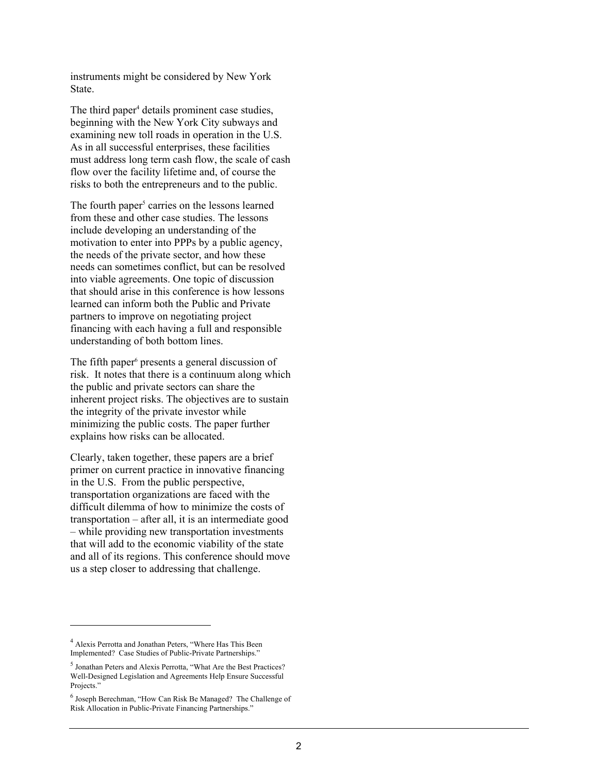instruments might be considered by New York State.

The third paper<sup>4</sup> details prominent case studies, beginning with the New York City subways and examining new toll roads in operation in the U.S. As in all successful enterprises, these facilities must address long term cash flow, the scale of cash flow over the facility lifetime and, of course the risks to both the entrepreneurs and to the public.

The fourth paper<sup>5</sup> carries on the lessons learned from these and other case studies. The lessons include developing an understanding of the motivation to enter into PPPs by a public agency, the needs of the private sector, and how these needs can sometimes conflict, but can be resolved into viable agreements. One topic of discussion that should arise in this conference is how lessons learned can inform both the Public and Private partners to improve on negotiating project financing with each having a full and responsible understanding of both bottom lines.

The fifth paper<sup>6</sup> presents a general discussion of risk. It notes that there is a continuum along which the public and private sectors can share the inherent project risks. The objectives are to sustain the integrity of the private investor while minimizing the public costs. The paper further explains how risks can be allocated.

Clearly, taken together, these papers are a brief primer on current practice in innovative financing in the U.S. From the public perspective, transportation organizations are faced with the difficult dilemma of how to minimize the costs of transportation – after all, it is an intermediate good – while providing new transportation investments that will add to the economic viability of the state and all of its regions. This conference should move us a step closer to addressing that challenge.

<sup>&</sup>lt;sup>4</sup> Alexis Perrotta and Jonathan Peters, "Where Has This Been Implemented? Case Studies of Public-Private Partnerships."

<sup>5</sup> Jonathan Peters and Alexis Perrotta, "What Are the Best Practices? Well-Designed Legislation and Agreements Help Ensure Successful Projects."

<sup>&</sup>lt;sup>6</sup> Joseph Berechman, "How Can Risk Be Managed? The Challenge of Risk Allocation in Public-Private Financing Partnerships."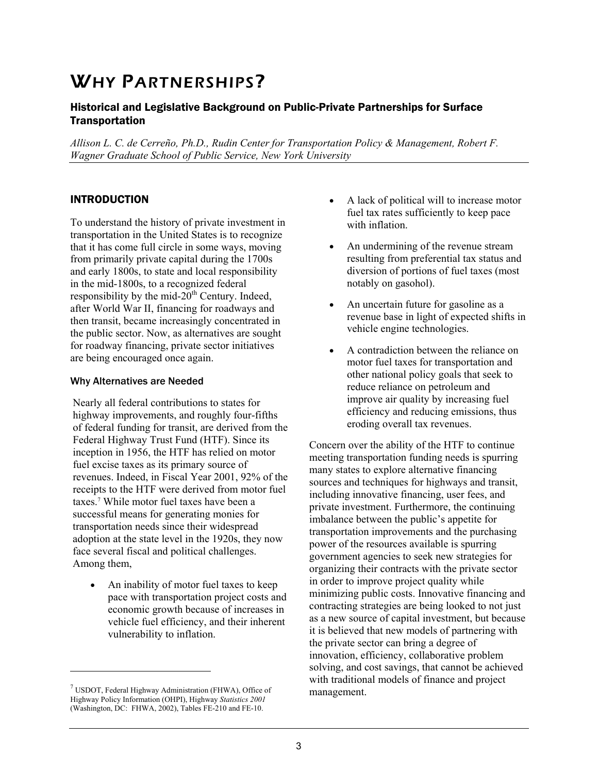# WHY PARTNERSHIPS?

# Historical and Legislative Background on Public-Private Partnerships for Surface **Transportation**

*Allison L. C. de Cerreño, Ph.D., Rudin Center for Transportation Policy & Management, Robert F. Wagner Graduate School of Public Service, New York University* 

## INTRODUCTION

To understand the history of private investment in transportation in the United States is to recognize that it has come full circle in some ways, moving from primarily private capital during the 1700s and early 1800s, to state and local responsibility in the mid-1800s, to a recognized federal responsibility by the mid- $20<sup>th</sup>$  Century. Indeed, after World War II, financing for roadways and then transit, became increasingly concentrated in the public sector. Now, as alternatives are sought for roadway financing, private sector initiatives are being encouraged once again.

## Why Alternatives are Needed

Nearly all federal contributions to states for highway improvements, and roughly four-fifths of federal funding for transit, are derived from the Federal Highway Trust Fund (HTF). Since its inception in 1956, the HTF has relied on motor fuel excise taxes as its primary source of revenues. Indeed, in Fiscal Year 2001, 92% of the receipts to the HTF were derived from motor fuel taxes.7 While motor fuel taxes have been a successful means for generating monies for transportation needs since their widespread adoption at the state level in the 1920s, they now face several fiscal and political challenges. Among them,

• An inability of motor fuel taxes to keep pace with transportation project costs and economic growth because of increases in vehicle fuel efficiency, and their inherent vulnerability to inflation.

-

- A lack of political will to increase motor fuel tax rates sufficiently to keep pace with inflation.
- An undermining of the revenue stream resulting from preferential tax status and diversion of portions of fuel taxes (most notably on gasohol).
- An uncertain future for gasoline as a revenue base in light of expected shifts in vehicle engine technologies.
- A contradiction between the reliance on motor fuel taxes for transportation and other national policy goals that seek to reduce reliance on petroleum and improve air quality by increasing fuel efficiency and reducing emissions, thus eroding overall tax revenues.

Concern over the ability of the HTF to continue meeting transportation funding needs is spurring many states to explore alternative financing sources and techniques for highways and transit, including innovative financing, user fees, and private investment. Furthermore, the continuing imbalance between the public's appetite for transportation improvements and the purchasing power of the resources available is spurring government agencies to seek new strategies for organizing their contracts with the private sector in order to improve project quality while minimizing public costs. Innovative financing and contracting strategies are being looked to not just as a new source of capital investment, but because it is believed that new models of partnering with the private sector can bring a degree of innovation, efficiency, collaborative problem solving, and cost savings, that cannot be achieved with traditional models of finance and project management.

 $7$  USDOT, Federal Highway Administration (FHWA), Office of Highway Policy Information (OHPI), Highway *Statistics 2001*  (Washington, DC: FHWA, 2002), Tables FE-210 and FE-10.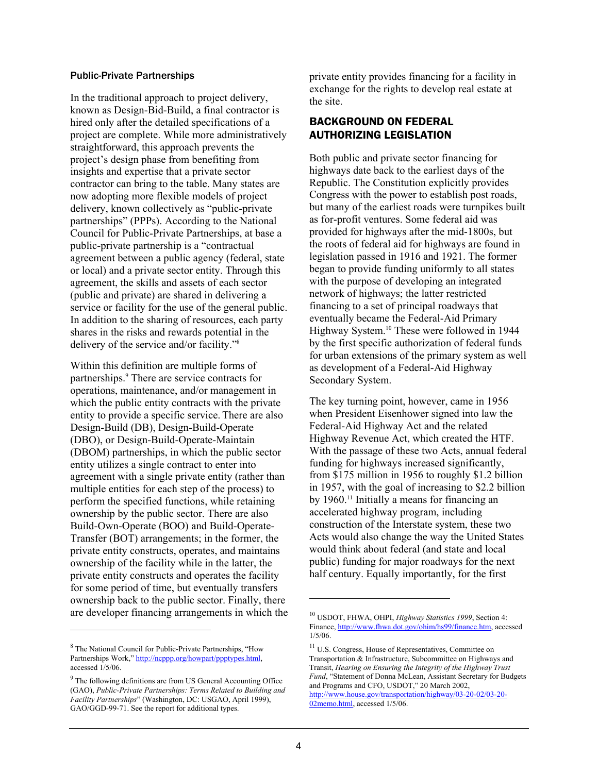#### Public-Private Partnerships

In the traditional approach to project delivery, known as Design-Bid-Build, a final contractor is hired only after the detailed specifications of a project are complete. While more administratively straightforward, this approach prevents the project's design phase from benefiting from insights and expertise that a private sector contractor can bring to the table. Many states are now adopting more flexible models of project delivery, known collectively as "public-private partnerships" (PPPs). According to the National Council for Public-Private Partnerships, at base a public-private partnership is a "contractual agreement between a public agency (federal, state or local) and a private sector entity. Through this agreement, the skills and assets of each sector (public and private) are shared in delivering a service or facility for the use of the general public. In addition to the sharing of resources, each party shares in the risks and rewards potential in the delivery of the service and/or facility."8

Within this definition are multiple forms of partnerships.9 There are service contracts for operations, maintenance, and/or management in which the public entity contracts with the private entity to provide a specific service. There are also Design-Build (DB), Design-Build-Operate (DBO), or Design-Build-Operate-Maintain (DBOM) partnerships, in which the public sector entity utilizes a single contract to enter into agreement with a single private entity (rather than multiple entities for each step of the process) to perform the specified functions, while retaining ownership by the public sector. There are also Build-Own-Operate (BOO) and Build-Operate-Transfer (BOT) arrangements; in the former, the private entity constructs, operates, and maintains ownership of the facility while in the latter, the private entity constructs and operates the facility for some period of time, but eventually transfers ownership back to the public sector. Finally, there are developer financing arrangements in which the

-

private entity provides financing for a facility in exchange for the rights to develop real estate at the site.

## BACKGROUND ON FEDERAL AUTHORIZING LEGISLATION

Both public and private sector financing for highways date back to the earliest days of the Republic. The Constitution explicitly provides Congress with the power to establish post roads, but many of the earliest roads were turnpikes built as for-profit ventures. Some federal aid was provided for highways after the mid-1800s, but the roots of federal aid for highways are found in legislation passed in 1916 and 1921. The former began to provide funding uniformly to all states with the purpose of developing an integrated network of highways; the latter restricted financing to a set of principal roadways that eventually became the Federal-Aid Primary Highway System.10 These were followed in 1944 by the first specific authorization of federal funds for urban extensions of the primary system as well as development of a Federal-Aid Highway Secondary System.

The key turning point, however, came in 1956 when President Eisenhower signed into law the Federal-Aid Highway Act and the related Highway Revenue Act, which created the HTF. With the passage of these two Acts, annual federal funding for highways increased significantly, from \$175 million in 1956 to roughly \$1.2 billion in 1957, with the goal of increasing to \$2.2 billion by 1960.<sup>11</sup> Initially a means for financing an accelerated highway program, including construction of the Interstate system, these two Acts would also change the way the United States would think about federal (and state and local public) funding for major roadways for the next half century. Equally importantly, for the first

<sup>&</sup>lt;sup>8</sup> The National Council for Public-Private Partnerships, "How Partnerships Work," http://ncppp.org/howpart/ppptypes.html, accessed 1/5/06.

<sup>&</sup>lt;sup>9</sup> The following definitions are from US General Accounting Office (GAO), *Public-Private Partnerships: Terms Related to Building and Facility Partnerships*" (Washington, DC: USGAO, April 1999), GAO/GGD-99-71. See the report for additional types.

<sup>10</sup> USDOT, FHWA, OHPI, *Highway Statistics 1999*, Section 4: Finance, http://www.fhwa.dot.gov/ohim/hs99/finance.htm, accessed 1/5/06.

<sup>11</sup> U.S. Congress, House of Representatives, Committee on Transportation & Infrastructure, Subcommittee on Highways and Transit, *Hearing on Ensuring the Integrity of the Highway Trust Fund*, "Statement of Donna McLean, Assistant Secretary for Budgets and Programs and CFO, USDOT," 20 March 2002, http://www.house.gov/transportation/highway/03-20-02/03-20- 02memo.html, accessed 1/5/06.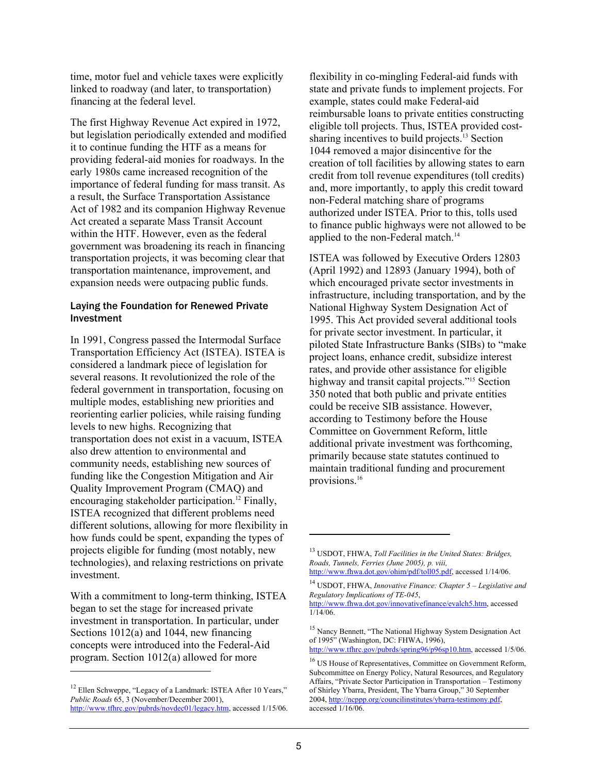time, motor fuel and vehicle taxes were explicitly linked to roadway (and later, to transportation) financing at the federal level.

The first Highway Revenue Act expired in 1972, but legislation periodically extended and modified it to continue funding the HTF as a means for providing federal-aid monies for roadways. In the early 1980s came increased recognition of the importance of federal funding for mass transit. As a result, the Surface Transportation Assistance Act of 1982 and its companion Highway Revenue Act created a separate Mass Transit Account within the HTF. However, even as the federal government was broadening its reach in financing transportation projects, it was becoming clear that transportation maintenance, improvement, and expansion needs were outpacing public funds.

#### Laying the Foundation for Renewed Private Investment

In 1991, Congress passed the Intermodal Surface Transportation Efficiency Act (ISTEA). ISTEA is considered a landmark piece of legislation for several reasons. It revolutionized the role of the federal government in transportation, focusing on multiple modes, establishing new priorities and reorienting earlier policies, while raising funding levels to new highs. Recognizing that transportation does not exist in a vacuum, ISTEA also drew attention to environmental and community needs, establishing new sources of funding like the Congestion Mitigation and Air Quality Improvement Program (CMAQ) and encouraging stakeholder participation.<sup>12</sup> Finally, ISTEA recognized that different problems need different solutions, allowing for more flexibility in how funds could be spent, expanding the types of projects eligible for funding (most notably, new technologies), and relaxing restrictions on private investment.

With a commitment to long-term thinking, ISTEA began to set the stage for increased private investment in transportation. In particular, under Sections 1012(a) and 1044, new financing concepts were introduced into the Federal-Aid program. Section 1012(a) allowed for more

-

flexibility in co-mingling Federal-aid funds with state and private funds to implement projects. For example, states could make Federal-aid reimbursable loans to private entities constructing eligible toll projects. Thus, ISTEA provided costsharing incentives to build projects.<sup>13</sup> Section 1044 removed a major disincentive for the creation of toll facilities by allowing states to earn credit from toll revenue expenditures (toll credits) and, more importantly, to apply this credit toward non-Federal matching share of programs authorized under ISTEA. Prior to this, tolls used to finance public highways were not allowed to be applied to the non-Federal match.<sup>14</sup>

ISTEA was followed by Executive Orders 12803 (April 1992) and 12893 (January 1994), both of which encouraged private sector investments in infrastructure, including transportation, and by the National Highway System Designation Act of 1995. This Act provided several additional tools for private sector investment. In particular, it piloted State Infrastructure Banks (SIBs) to "make project loans, enhance credit, subsidize interest rates, and provide other assistance for eligible highway and transit capital projects."<sup>15</sup> Section 350 noted that both public and private entities could be receive SIB assistance. However, according to Testimony before the House Committee on Government Reform, little additional private investment was forthcoming, primarily because state statutes continued to maintain traditional funding and procurement provisions.16

http://www.tfhrc.gov/pubrds/spring96/p96sp10.htm, accessed 1/5/06.

<sup>&</sup>lt;sup>12</sup> Ellen Schweppe, "Legacy of a Landmark: ISTEA After 10 Years," *Public Roads* 65, 3 (November/December 2001), http://www.tfhrc.gov/pubrds/novdec01/legacy.htm, accessed 1/15/06.

<sup>13</sup> USDOT, FHWA, *Toll Facilities in the United States: Bridges, Roads, Tunnels, Ferries (June 2005), p. viii,*  http://www.fhwa.dot.gov/ohim/pdf/toll05.pdf, accessed 1/14/06.

<sup>14</sup> USDOT, FHWA, *Innovative Finance: Chapter 5 – Legislative and Regulatory Implications of TE-045*,

http://www.fhwa.dot.gov/innovativefinance/evalch5.htm, accessed  $1/14/06$ .

<sup>&</sup>lt;sup>15</sup> Nancy Bennett, "The National Highway System Designation Act of 1995" (Washington, DC: FHWA, 1996),

<sup>&</sup>lt;sup>16</sup> US House of Representatives, Committee on Government Reform, Subcommittee on Energy Policy, Natural Resources, and Regulatory Affairs, "Private Sector Participation in Transportation – Testimony of Shirley Ybarra, President, The Ybarra Group," 30 September 2004, http://ncppp.org/councilinstitutes/ybarra-testimony.pdf, accessed 1/16/06.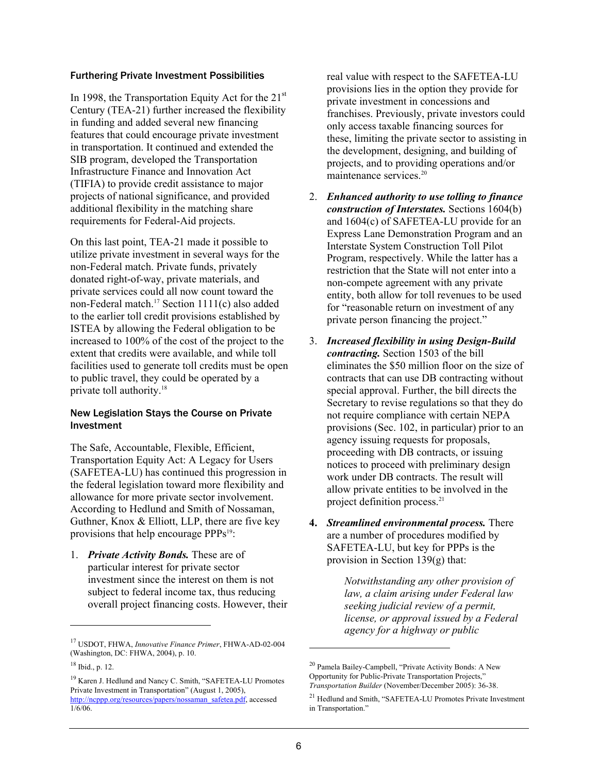#### Furthering Private Investment Possibilities

In 1998, the Transportation Equity Act for the  $21<sup>st</sup>$ Century (TEA-21) further increased the flexibility in funding and added several new financing features that could encourage private investment in transportation. It continued and extended the SIB program, developed the Transportation Infrastructure Finance and Innovation Act (TIFIA) to provide credit assistance to major projects of national significance, and provided additional flexibility in the matching share requirements for Federal-Aid projects.

On this last point, TEA-21 made it possible to utilize private investment in several ways for the non-Federal match. Private funds, privately donated right-of-way, private materials, and private services could all now count toward the non-Federal match.17 Section 1111(c) also added to the earlier toll credit provisions established by ISTEA by allowing the Federal obligation to be increased to 100% of the cost of the project to the extent that credits were available, and while toll facilities used to generate toll credits must be open to public travel, they could be operated by a private toll authority.18

## New Legislation Stays the Course on Private Investment

The Safe, Accountable, Flexible, Efficient, Transportation Equity Act: A Legacy for Users (SAFETEA-LU) has continued this progression in the federal legislation toward more flexibility and allowance for more private sector involvement. According to Hedlund and Smith of Nossaman, Guthner, Knox & Elliott, LLP, there are five key provisions that help encourage PPPs<sup>19</sup>:

1. *Private Activity Bonds.* These are of particular interest for private sector investment since the interest on them is not subject to federal income tax, thus reducing overall project financing costs. However, their

l

real value with respect to the SAFETEA-LU provisions lies in the option they provide for private investment in concessions and franchises. Previously, private investors could only access taxable financing sources for these, limiting the private sector to assisting in the development, designing, and building of projects, and to providing operations and/or maintenance services.<sup>20</sup>

- 2. *Enhanced authority to use tolling to finance construction of Interstates.* Sections 1604(b) and 1604(c) of SAFETEA-LU provide for an Express Lane Demonstration Program and an Interstate System Construction Toll Pilot Program, respectively. While the latter has a restriction that the State will not enter into a non-compete agreement with any private entity, both allow for toll revenues to be used for "reasonable return on investment of any private person financing the project."
- 3. *Increased flexibility in using Design-Build contracting.* Section 1503 of the bill eliminates the \$50 million floor on the size of contracts that can use DB contracting without special approval. Further, the bill directs the Secretary to revise regulations so that they do not require compliance with certain NEPA provisions (Sec. 102, in particular) prior to an agency issuing requests for proposals, proceeding with DB contracts, or issuing notices to proceed with preliminary design work under DB contracts. The result will allow private entities to be involved in the project definition process.<sup>21</sup>
- **4.** *Streamlined environmental process.* There are a number of procedures modified by SAFETEA-LU, but key for PPPs is the provision in Section 139(g) that:

*Notwithstanding any other provision of law, a claim arising under Federal law seeking judicial review of a permit, license, or approval issued by a Federal agency for a highway or public* 

<sup>17</sup> USDOT, FHWA, *Innovative Finance Primer*, FHWA-AD-02-004 (Washington, DC: FHWA, 2004), p. 10.

 $18$  Ibid., p. 12.

<sup>&</sup>lt;sup>19</sup> Karen J. Hedlund and Nancy C. Smith, "SAFETEA-LU Promotes Private Investment in Transportation" (August 1, 2005), http://ncppp.org/resources/papers/nossaman\_safetea.pdf, accessed 1/6/06.

<sup>20</sup> Pamela Bailey-Campbell, "Private Activity Bonds: A New Opportunity for Public-Private Transportation Projects," *Transportation Builder* (November/December 2005): 36-38.

<sup>21</sup> Hedlund and Smith, "SAFETEA-LU Promotes Private Investment in Transportation."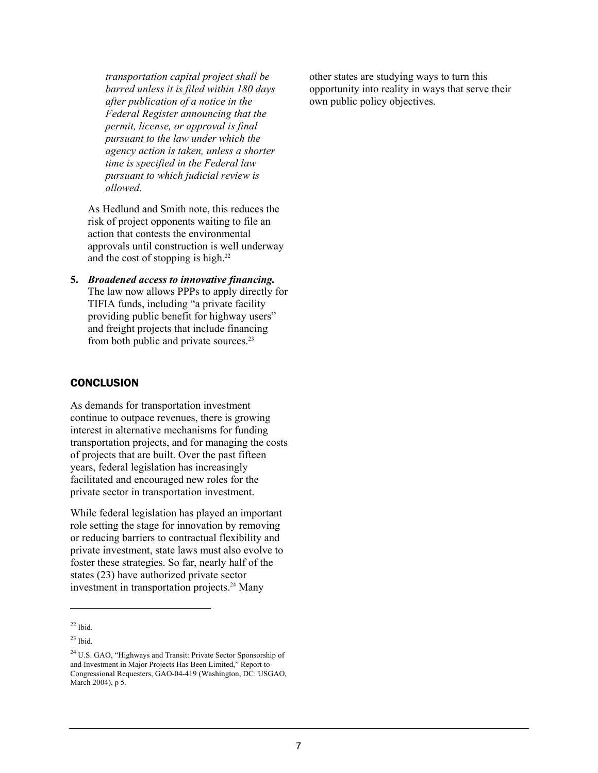*transportation capital project shall be barred unless it is filed within 180 days after publication of a notice in the Federal Register announcing that the permit, license, or approval is final pursuant to the law under which the agency action is taken, unless a shorter time is specified in the Federal law pursuant to which judicial review is allowed.* 

As Hedlund and Smith note, this reduces the risk of project opponents waiting to file an action that contests the environmental approvals until construction is well underway and the cost of stopping is high. $^{22}$ 

**5.** *Broadened access to innovative financing.* The law now allows PPPs to apply directly for TIFIA funds, including "a private facility providing public benefit for highway users" and freight projects that include financing from both public and private sources.23

## **CONCLUSION**

As demands for transportation investment continue to outpace revenues, there is growing interest in alternative mechanisms for funding transportation projects, and for managing the costs of projects that are built. Over the past fifteen years, federal legislation has increasingly facilitated and encouraged new roles for the private sector in transportation investment.

While federal legislation has played an important role setting the stage for innovation by removing or reducing barriers to contractual flexibility and private investment, state laws must also evolve to foster these strategies. So far, nearly half of the states (23) have authorized private sector investment in transportation projects.<sup>24</sup> Many

l

other states are studying ways to turn this opportunity into reality in ways that serve their own public policy objectives.

 $22$  Ibid.

 $^{23}$  Ibid.

<sup>24</sup> U.S. GAO, "Highways and Transit: Private Sector Sponsorship of and Investment in Major Projects Has Been Limited," Report to Congressional Requesters, GAO-04-419 (Washington, DC: USGAO, March 2004), p 5.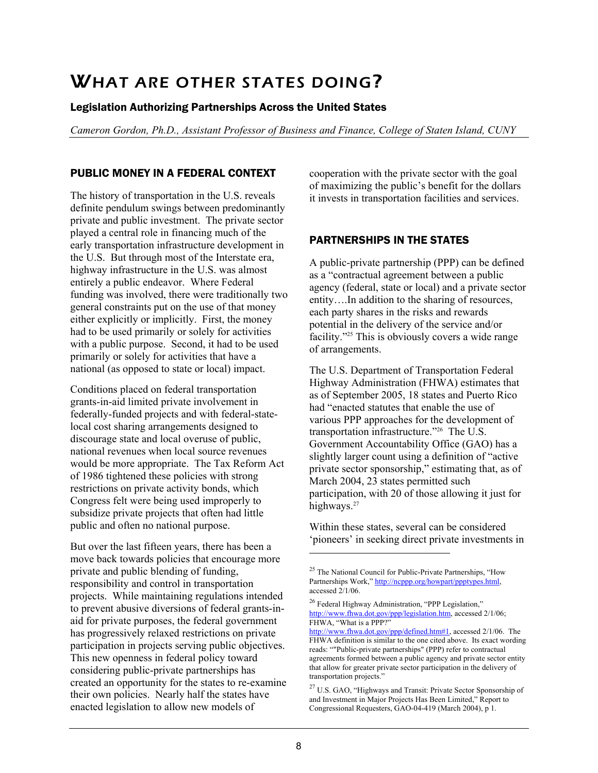# WHAT ARE OTHER STATES DOING?

## Legislation Authorizing Partnerships Across the United States

*Cameron Gordon, Ph.D., Assistant Professor of Business and Finance, College of Staten Island, CUNY* 

## PUBLIC MONEY IN A FEDERAL CONTEXT

The history of transportation in the U.S. reveals definite pendulum swings between predominantly private and public investment. The private sector played a central role in financing much of the early transportation infrastructure development in the U.S. But through most of the Interstate era, highway infrastructure in the U.S. was almost entirely a public endeavor. Where Federal funding was involved, there were traditionally two general constraints put on the use of that money either explicitly or implicitly. First, the money had to be used primarily or solely for activities with a public purpose. Second, it had to be used primarily or solely for activities that have a national (as opposed to state or local) impact.

Conditions placed on federal transportation grants-in-aid limited private involvement in federally-funded projects and with federal-statelocal cost sharing arrangements designed to discourage state and local overuse of public, national revenues when local source revenues would be more appropriate. The Tax Reform Act of 1986 tightened these policies with strong restrictions on private activity bonds, which Congress felt were being used improperly to subsidize private projects that often had little public and often no national purpose.

But over the last fifteen years, there has been a move back towards policies that encourage more private and public blending of funding, responsibility and control in transportation projects. While maintaining regulations intended to prevent abusive diversions of federal grants-inaid for private purposes, the federal government has progressively relaxed restrictions on private participation in projects serving public objectives. This new openness in federal policy toward considering public-private partnerships has created an opportunity for the states to re-examine their own policies. Nearly half the states have enacted legislation to allow new models of

cooperation with the private sector with the goal of maximizing the public's benefit for the dollars it invests in transportation facilities and services.

# PARTNERSHIPS IN THE STATES

A public-private partnership (PPP) can be defined as a "contractual agreement between a public agency (federal, state or local) and a private sector entity….In addition to the sharing of resources, each party shares in the risks and rewards potential in the delivery of the service and/or facility."<sup>25</sup> This is obviously covers a wide range of arrangements.

The U.S. Department of Transportation Federal Highway Administration (FHWA) estimates that as of September 2005, 18 states and Puerto Rico had "enacted statutes that enable the use of various PPP approaches for the development of transportation infrastructure."26 The U.S. Government Accountability Office (GAO) has a slightly larger count using a definition of "active private sector sponsorship," estimating that, as of March 2004, 23 states permitted such participation, with 20 of those allowing it just for highways.<sup>27</sup>

Within these states, several can be considered 'pioneers' in seeking direct private investments in

 $\overline{a}$ 

<sup>&</sup>lt;sup>25</sup> The National Council for Public-Private Partnerships, "How Partnerships Work," http://ncppp.org/howpart/ppptypes.html, accessed 2/1/06.

<sup>26</sup> Federal Highway Administration, "PPP Legislation," http://www.fhwa.dot.gov/ppp/legislation.htm, accessed 2/1/06; FHWA, "What is a PPP?"

http://www.fhwa.dot.gov/ppp/defined.htm#1, accessed 2/1/06. The FHWA definition is similar to the one cited above. Its exact wording reads: ""Public-private partnerships" (PPP) refer to contractual agreements formed between a public agency and private sector entity that allow for greater private sector participation in the delivery of transportation projects."

<sup>27</sup> U.S. GAO, "Highways and Transit: Private Sector Sponsorship of and Investment in Major Projects Has Been Limited," Report to Congressional Requesters, GAO-04-419 (March 2004), p 1.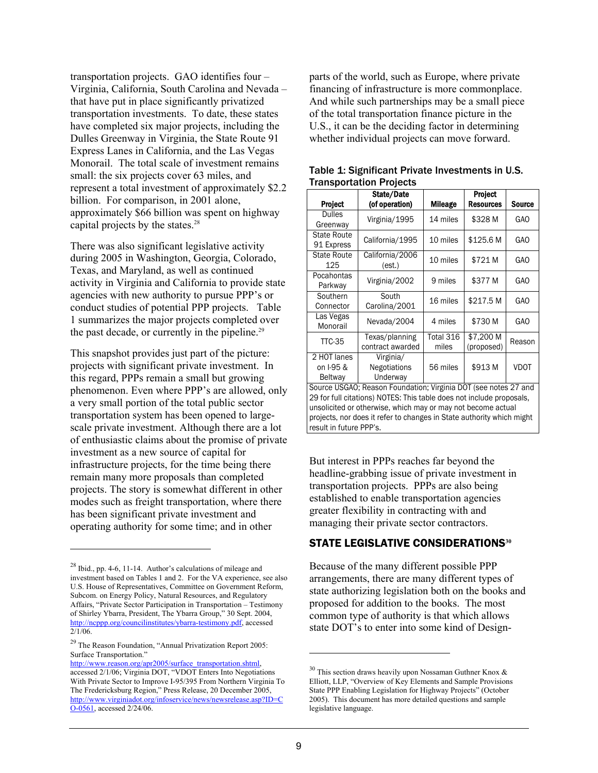transportation projects. GAO identifies four – Virginia, California, South Carolina and Nevada – that have put in place significantly privatized transportation investments. To date, these states have completed six major projects, including the Dulles Greenway in Virginia, the State Route 91 Express Lanes in California, and the Las Vegas Monorail. The total scale of investment remains small: the six projects cover 63 miles, and represent a total investment of approximately \$2.2 billion. For comparison, in 2001 alone, approximately \$66 billion was spent on highway capital projects by the states.<sup>28</sup>

There was also significant legislative activity during 2005 in Washington, Georgia, Colorado, Texas, and Maryland, as well as continued activity in Virginia and California to provide state agencies with new authority to pursue PPP's or conduct studies of potential PPP projects. Table 1 summarizes the major projects completed over the past decade, or currently in the pipeline.<sup>29</sup>

This snapshot provides just part of the picture: projects with significant private investment. In this regard, PPPs remain a small but growing phenomenon. Even where PPP's are allowed, only a very small portion of the total public sector transportation system has been opened to largescale private investment. Although there are a lot of enthusiastic claims about the promise of private investment as a new source of capital for infrastructure projects, for the time being there remain many more proposals than completed projects. The story is somewhat different in other modes such as freight transportation, where there has been significant private investment and operating authority for some time; and in other

1

parts of the world, such as Europe, where private financing of infrastructure is more commonplace. And while such partnerships may be a small piece of the total transportation finance picture in the U.S., it can be the deciding factor in determining whether individual projects can move forward.

|                                                                       | State/Date          |                | Project    |               |  |
|-----------------------------------------------------------------------|---------------------|----------------|------------|---------------|--|
|                                                                       |                     |                |            |               |  |
| <b>Project</b>                                                        | (of operation)      | <b>Mileage</b> | Resources  | <b>Source</b> |  |
| <b>Dulles</b>                                                         | Virginia/1995       | 14 miles       | \$328 M    | GAO           |  |
| Greenway                                                              |                     |                |            |               |  |
| <b>State Route</b>                                                    |                     |                | 10 miles   | \$125.6 M     |  |
| 91 Express                                                            | California/1995     |                |            | GAO           |  |
| <b>State Route</b>                                                    | California/2006     |                |            |               |  |
| 125                                                                   | (est.)              | 10 miles       | \$721 M    | GAO           |  |
| Pocahontas                                                            |                     |                |            |               |  |
| Parkway                                                               | Virginia/2002       | 9 miles        | \$377 M    | GAO           |  |
| Southern                                                              | South               | 16 miles       | \$217.5 M  | GAO           |  |
| Connector                                                             | Carolina/2001       |                |            |               |  |
| Las Vegas                                                             |                     | 4 miles        | \$730 M    | <b>GAO</b>    |  |
| Monorail                                                              | Nevada/2004         |                |            |               |  |
| <b>TTC-35</b>                                                         | Texas/planning      | Total 316      | \$7,200 M  |               |  |
|                                                                       | contract awarded    | miles          | (proposed) | Reason        |  |
| 2 HOT lanes                                                           | Virginia/           |                |            |               |  |
| on I-95 &                                                             | <b>Negotiations</b> | 56 miles       | \$913 M    | <b>VDOT</b>   |  |
| <b>Beltway</b>                                                        | Underway            |                |            |               |  |
| Source USGAO; Reason Foundation; Virginia DOT (see notes 27 and       |                     |                |            |               |  |
| 29 for full citations) NOTES: This table does not include proposals,  |                     |                |            |               |  |
| unsolicited or otherwise, which may or may not become actual          |                     |                |            |               |  |
| projects, nor does it refer to changes in State authority which might |                     |                |            |               |  |
| result in future PPP's.                                               |                     |                |            |               |  |

#### Table 1: Significant Private Investments in U.S. Transportation Projects

But interest in PPPs reaches far beyond the headline-grabbing issue of private investment in transportation projects. PPPs are also being established to enable transportation agencies greater flexibility in contracting with and managing their private sector contractors.

## STATE LEGISLATIVE CONSIDERATIONS**<sup>30</sup>**

Because of the many different possible PPP arrangements, there are many different types of state authorizing legislation both on the books and proposed for addition to the books. The most common type of authority is that which allows state DOT's to enter into some kind of Design-

 $\overline{a}$ 

 $^{28}$  Ibid., pp. 4-6, 11-14. Author's calculations of mileage and investment based on Tables 1 and 2. For the VA experience, see also U.S. House of Representatives, Committee on Government Reform, Subcom. on Energy Policy, Natural Resources, and Regulatory Affairs, "Private Sector Participation in Transportation – Testimony of Shirley Ybarra, President, The Ybarra Group," 30 Sept. 2004, http://ncppp.org/councilinstitutes/ybarra-testimony.pdf, accessed 2/1/06.

<sup>29</sup> The Reason Foundation, "Annual Privatization Report 2005: Surface Transportation."

http://www.reason.org/apr2005/surface\_transportation.shtml, accessed 2/1/06; Virginia DOT, "VDOT Enters Into Negotiations With Private Sector to Improve I-95/395 From Northern Virginia To The Fredericksburg Region," Press Release, 20 December 2005, http://www.virginiadot.org/infoservice/news/newsrelease.asp?ID=C O-0561, accessed 2/24/06.

 $30$  This section draws heavily upon Nossaman Guthner Knox  $\&$ Elliott, LLP, "Overview of Key Elements and Sample Provisions State PPP Enabling Legislation for Highway Projects" (October 2005). This document has more detailed questions and sample legislative language.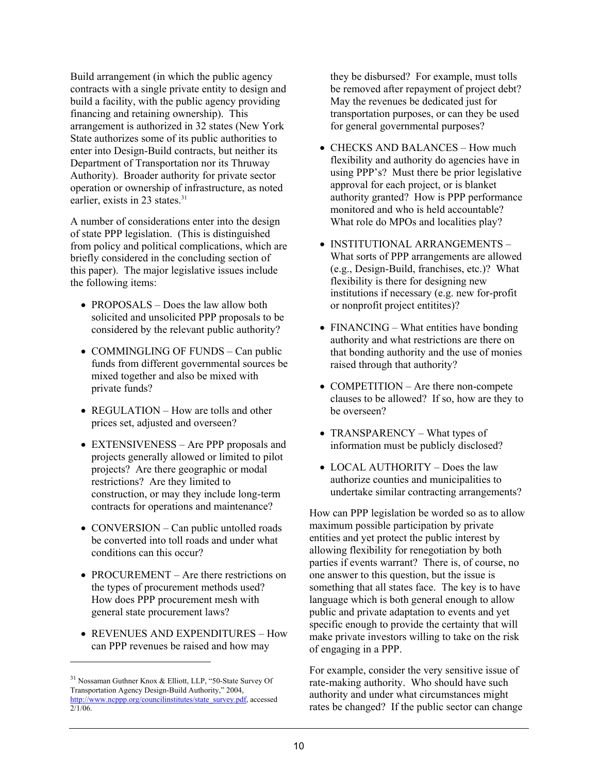Build arrangement (in which the public agency contracts with a single private entity to design and build a facility, with the public agency providing financing and retaining ownership). This arrangement is authorized in 32 states (New York State authorizes some of its public authorities to enter into Design-Build contracts, but neither its Department of Transportation nor its Thruway Authority). Broader authority for private sector operation or ownership of infrastructure, as noted earlier, exists in 23 states.<sup>31</sup>

A number of considerations enter into the design of state PPP legislation. (This is distinguished from policy and political complications, which are briefly considered in the concluding section of this paper). The major legislative issues include the following items:

- PROPOSALS Does the law allow both solicited and unsolicited PPP proposals to be considered by the relevant public authority?
- COMMINGLING OF FUNDS Can public funds from different governmental sources be mixed together and also be mixed with private funds?
- REGULATION How are tolls and other prices set, adjusted and overseen?
- EXTENSIVENESS Are PPP proposals and projects generally allowed or limited to pilot projects? Are there geographic or modal restrictions? Are they limited to construction, or may they include long-term contracts for operations and maintenance?
- CONVERSION Can public untolled roads be converted into toll roads and under what conditions can this occur?
- PROCUREMENT Are there restrictions on the types of procurement methods used? How does PPP procurement mesh with general state procurement laws?
- REVENUES AND EXPENDITURES How can PPP revenues be raised and how may

1

they be disbursed? For example, must tolls be removed after repayment of project debt? May the revenues be dedicated just for transportation purposes, or can they be used for general governmental purposes?

- CHECKS AND BALANCES How much flexibility and authority do agencies have in using PPP's? Must there be prior legislative approval for each project, or is blanket authority granted? How is PPP performance monitored and who is held accountable? What role do MPOs and localities play?
- INSTITUTIONAL ARRANGEMENTS What sorts of PPP arrangements are allowed (e.g., Design-Build, franchises, etc.)? What flexibility is there for designing new institutions if necessary (e.g. new for-profit or nonprofit project entitites)?
- FINANCING What entities have bonding authority and what restrictions are there on that bonding authority and the use of monies raised through that authority?
- COMPETITION Are there non-compete clauses to be allowed? If so, how are they to be overseen?
- TRANSPARENCY What types of information must be publicly disclosed?
- LOCAL AUTHORITY Does the law authorize counties and municipalities to undertake similar contracting arrangements?

How can PPP legislation be worded so as to allow maximum possible participation by private entities and yet protect the public interest by allowing flexibility for renegotiation by both parties if events warrant? There is, of course, no one answer to this question, but the issue is something that all states face. The key is to have language which is both general enough to allow public and private adaptation to events and yet specific enough to provide the certainty that will make private investors willing to take on the risk of engaging in a PPP.

For example, consider the very sensitive issue of rate-making authority. Who should have such authority and under what circumstances might rates be changed? If the public sector can change

<sup>31</sup> Nossaman Guthner Knox & Elliott, LLP, "50-State Survey Of Transportation Agency Design-Build Authority," 2004, http://www.ncppp.org/councilinstitutes/state\_survey.pdf, accessed  $2/1/06$ .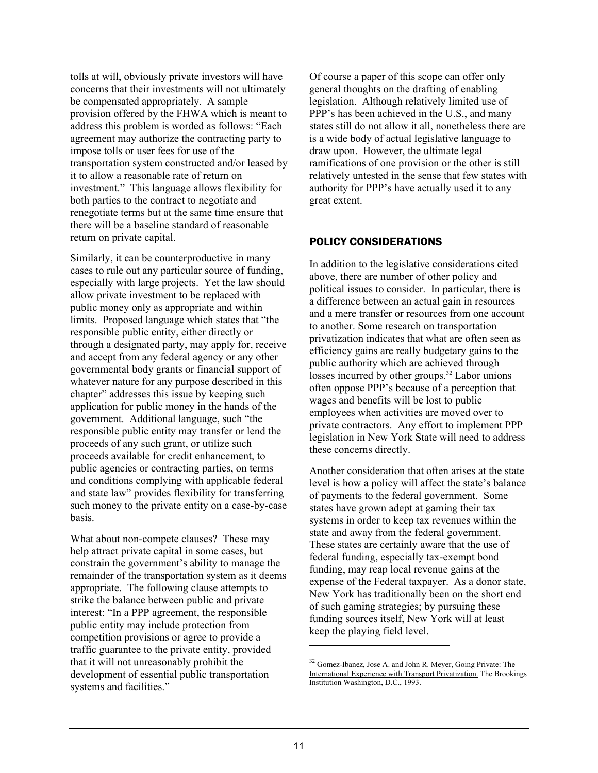tolls at will, obviously private investors will have concerns that their investments will not ultimately be compensated appropriately. A sample provision offered by the FHWA which is meant to address this problem is worded as follows: "Each agreement may authorize the contracting party to impose tolls or user fees for use of the transportation system constructed and/or leased by it to allow a reasonable rate of return on investment." This language allows flexibility for both parties to the contract to negotiate and renegotiate terms but at the same time ensure that there will be a baseline standard of reasonable return on private capital.

Similarly, it can be counterproductive in many cases to rule out any particular source of funding, especially with large projects. Yet the law should allow private investment to be replaced with public money only as appropriate and within limits. Proposed language which states that "the responsible public entity, either directly or through a designated party, may apply for, receive and accept from any federal agency or any other governmental body grants or financial support of whatever nature for any purpose described in this chapter" addresses this issue by keeping such application for public money in the hands of the government. Additional language, such "the responsible public entity may transfer or lend the proceeds of any such grant, or utilize such proceeds available for credit enhancement, to public agencies or contracting parties, on terms and conditions complying with applicable federal and state law" provides flexibility for transferring such money to the private entity on a case-by-case basis.

What about non-compete clauses? These may help attract private capital in some cases, but constrain the government's ability to manage the remainder of the transportation system as it deems appropriate. The following clause attempts to strike the balance between public and private interest: "In a PPP agreement, the responsible public entity may include protection from competition provisions or agree to provide a traffic guarantee to the private entity, provided that it will not unreasonably prohibit the development of essential public transportation systems and facilities."

Of course a paper of this scope can offer only general thoughts on the drafting of enabling legislation. Although relatively limited use of PPP's has been achieved in the U.S., and many states still do not allow it all, nonetheless there are is a wide body of actual legislative language to draw upon. However, the ultimate legal ramifications of one provision or the other is still relatively untested in the sense that few states with authority for PPP's have actually used it to any great extent.

## POLICY CONSIDERATIONS

In addition to the legislative considerations cited above, there are number of other policy and political issues to consider. In particular, there is a difference between an actual gain in resources and a mere transfer or resources from one account to another. Some research on transportation privatization indicates that what are often seen as efficiency gains are really budgetary gains to the public authority which are achieved through losses incurred by other groups.<sup>32</sup> Labor unions often oppose PPP's because of a perception that wages and benefits will be lost to public employees when activities are moved over to private contractors. Any effort to implement PPP legislation in New York State will need to address these concerns directly.

Another consideration that often arises at the state level is how a policy will affect the state's balance of payments to the federal government. Some states have grown adept at gaming their tax systems in order to keep tax revenues within the state and away from the federal government. These states are certainly aware that the use of federal funding, especially tax-exempt bond funding, may reap local revenue gains at the expense of the Federal taxpayer. As a donor state, New York has traditionally been on the short end of such gaming strategies; by pursuing these funding sources itself, New York will at least keep the playing field level.

<sup>&</sup>lt;sup>32</sup> Gomez-Ibanez, Jose A. and John R. Meyer, Going Private: The International Experience with Transport Privatization. The Brookings Institution Washington, D.C., 1993.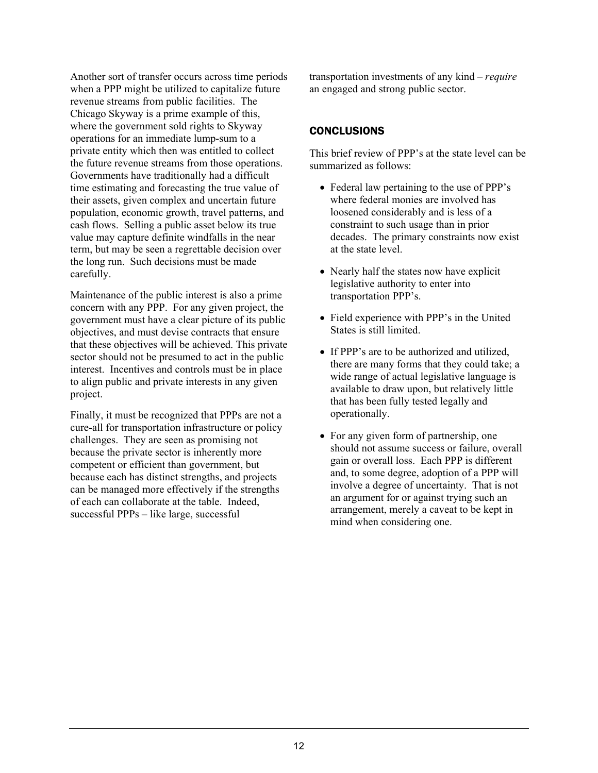Another sort of transfer occurs across time periods when a PPP might be utilized to capitalize future revenue streams from public facilities. The Chicago Skyway is a prime example of this, where the government sold rights to Skyway operations for an immediate lump-sum to a private entity which then was entitled to collect the future revenue streams from those operations. Governments have traditionally had a difficult time estimating and forecasting the true value of their assets, given complex and uncertain future population, economic growth, travel patterns, and cash flows. Selling a public asset below its true value may capture definite windfalls in the near term, but may be seen a regrettable decision over the long run. Such decisions must be made carefully.

Maintenance of the public interest is also a prime concern with any PPP. For any given project, the government must have a clear picture of its public objectives, and must devise contracts that ensure that these objectives will be achieved. This private sector should not be presumed to act in the public interest. Incentives and controls must be in place to align public and private interests in any given project.

Finally, it must be recognized that PPPs are not a cure-all for transportation infrastructure or policy challenges. They are seen as promising not because the private sector is inherently more competent or efficient than government, but because each has distinct strengths, and projects can be managed more effectively if the strengths of each can collaborate at the table. Indeed, successful PPPs – like large, successful

transportation investments of any kind – *require* an engaged and strong public sector.

## **CONCLUSIONS**

This brief review of PPP's at the state level can be summarized as follows:

- Federal law pertaining to the use of PPP's where federal monies are involved has loosened considerably and is less of a constraint to such usage than in prior decades. The primary constraints now exist at the state level.
- Nearly half the states now have explicit legislative authority to enter into transportation PPP's.
- Field experience with PPP's in the United States is still limited.
- If PPP's are to be authorized and utilized, there are many forms that they could take; a wide range of actual legislative language is available to draw upon, but relatively little that has been fully tested legally and operationally.
- For any given form of partnership, one should not assume success or failure, overall gain or overall loss. Each PPP is different and, to some degree, adoption of a PPP will involve a degree of uncertainty. That is not an argument for or against trying such an arrangement, merely a caveat to be kept in mind when considering one.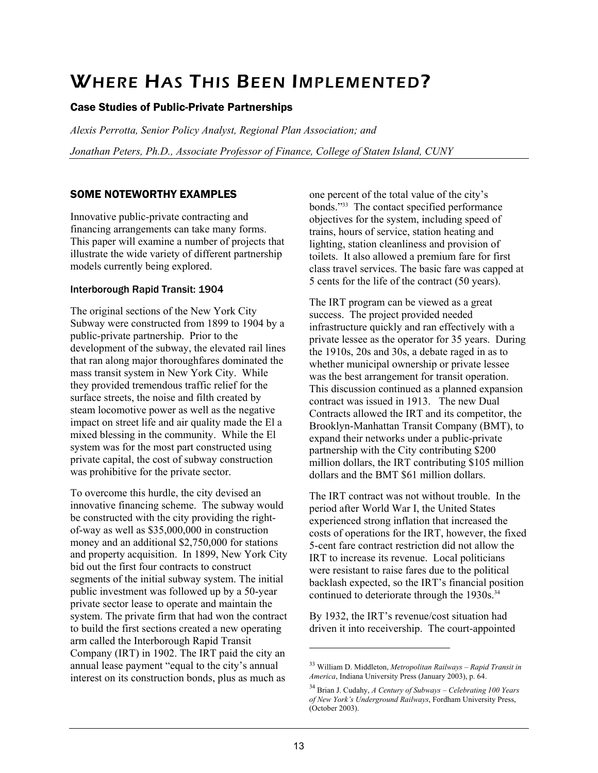# WHERE HAS THIS BEEN IMPLEMENTED?

# Case Studies of Public-Private Partnerships

*Alexis Perrotta, Senior Policy Analyst, Regional Plan Association; and Jonathan Peters, Ph.D., Associate Professor of Finance, College of Staten Island, CUNY* 

# SOME NOTEWORTHY EXAMPLES

Innovative public-private contracting and financing arrangements can take many forms. This paper will examine a number of projects that illustrate the wide variety of different partnership models currently being explored.

## Interborough Rapid Transit: 1904

The original sections of the New York City Subway were constructed from 1899 to 1904 by a public-private partnership. Prior to the development of the subway, the elevated rail lines that ran along major thoroughfares dominated the mass transit system in New York City. While they provided tremendous traffic relief for the surface streets, the noise and filth created by steam locomotive power as well as the negative impact on street life and air quality made the El a mixed blessing in the community. While the El system was for the most part constructed using private capital, the cost of subway construction was prohibitive for the private sector.

To overcome this hurdle, the city devised an innovative financing scheme. The subway would be constructed with the city providing the rightof-way as well as \$35,000,000 in construction money and an additional \$2,750,000 for stations and property acquisition. In 1899, New York City bid out the first four contracts to construct segments of the initial subway system. The initial public investment was followed up by a 50-year private sector lease to operate and maintain the system. The private firm that had won the contract to build the first sections created a new operating arm called the Interborough Rapid Transit Company (IRT) in 1902. The IRT paid the city an annual lease payment "equal to the city's annual interest on its construction bonds, plus as much as

one percent of the total value of the city's bonds."33 The contact specified performance objectives for the system, including speed of trains, hours of service, station heating and lighting, station cleanliness and provision of toilets. It also allowed a premium fare for first class travel services. The basic fare was capped at 5 cents for the life of the contract (50 years).

The IRT program can be viewed as a great success. The project provided needed infrastructure quickly and ran effectively with a private lessee as the operator for 35 years. During the 1910s, 20s and 30s, a debate raged in as to whether municipal ownership or private lessee was the best arrangement for transit operation. This discussion continued as a planned expansion contract was issued in 1913. The new Dual Contracts allowed the IRT and its competitor, the Brooklyn-Manhattan Transit Company (BMT), to expand their networks under a public-private partnership with the City contributing \$200 million dollars, the IRT contributing \$105 million dollars and the BMT \$61 million dollars.

The IRT contract was not without trouble. In the period after World War I, the United States experienced strong inflation that increased the costs of operations for the IRT, however, the fixed 5-cent fare contract restriction did not allow the IRT to increase its revenue. Local politicians were resistant to raise fares due to the political backlash expected, so the IRT's financial position continued to deteriorate through the 1930s.<sup>34</sup>

By 1932, the IRT's revenue/cost situation had driven it into receivership. The court-appointed

<sup>33</sup> William D. Middleton, *Metropolitan Railways – Rapid Transit in America*, Indiana University Press (January 2003), p. 64.

<sup>34</sup> Brian J. Cudahy, *A Century of Subways – Celebrating 100 Years of New York's Underground Railways*, Fordham University Press, (October 2003).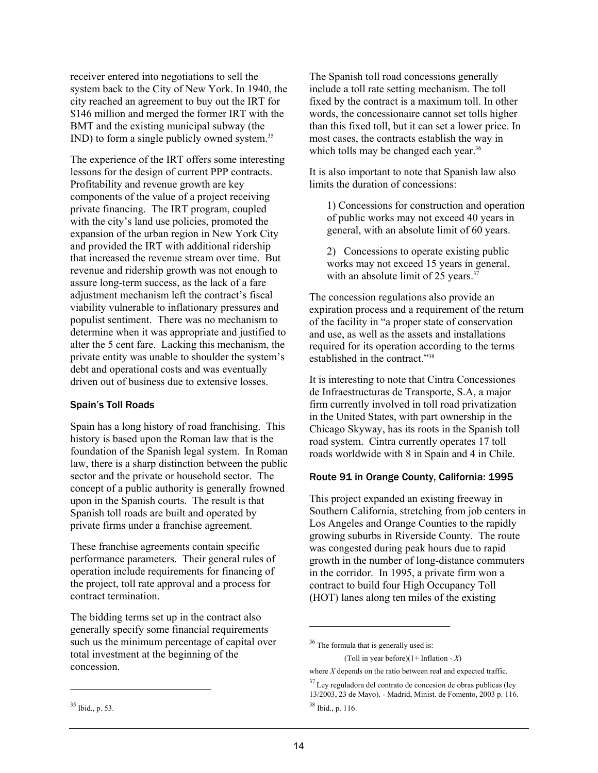receiver entered into negotiations to sell the system back to the City of New York. In 1940, the city reached an agreement to buy out the IRT for \$146 million and merged the former IRT with the BMT and the existing municipal subway (the IND) to form a single publicly owned system.35

The experience of the IRT offers some interesting lessons for the design of current PPP contracts. Profitability and revenue growth are key components of the value of a project receiving private financing. The IRT program, coupled with the city's land use policies, promoted the expansion of the urban region in New York City and provided the IRT with additional ridership that increased the revenue stream over time. But revenue and ridership growth was not enough to assure long-term success, as the lack of a fare adjustment mechanism left the contract's fiscal viability vulnerable to inflationary pressures and populist sentiment. There was no mechanism to determine when it was appropriate and justified to alter the 5 cent fare. Lacking this mechanism, the private entity was unable to shoulder the system's debt and operational costs and was eventually driven out of business due to extensive losses.

## Spain's Toll Roads

Spain has a long history of road franchising. This history is based upon the Roman law that is the foundation of the Spanish legal system. In Roman law, there is a sharp distinction between the public sector and the private or household sector. The concept of a public authority is generally frowned upon in the Spanish courts. The result is that Spanish toll roads are built and operated by private firms under a franchise agreement.

These franchise agreements contain specific performance parameters. Their general rules of operation include requirements for financing of the project, toll rate approval and a process for contract termination.

The bidding terms set up in the contract also generally specify some financial requirements such us the minimum percentage of capital over total investment at the beginning of the concession.

It is also important to note that Spanish law also limits the duration of concessions:

1) Concessions for construction and operation of public works may not exceed 40 years in general, with an absolute limit of 60 years.

2) Concessions to operate existing public works may not exceed 15 years in general, with an absolute limit of 25 years. $37$ 

The concession regulations also provide an expiration process and a requirement of the return of the facility in "a proper state of conservation and use, as well as the assets and installations required for its operation according to the terms established in the contract."38

It is interesting to note that Cintra Concessiones de Infraestructuras de Transporte, S.A, a major firm currently involved in toll road privatization in the United States, with part ownership in the Chicago Skyway, has its roots in the Spanish toll road system. Cintra currently operates 17 toll roads worldwide with 8 in Spain and 4 in Chile.

## Route 91 in Orange County, California: 1995

This project expanded an existing freeway in Southern California, stretching from job centers in Los Angeles and Orange Counties to the rapidly growing suburbs in Riverside County. The route was congested during peak hours due to rapid growth in the number of long-distance commuters in the corridor. In 1995, a private firm won a contract to build four High Occupancy Toll (HOT) lanes along ten miles of the existing

(Toll in year before)(1+ Inflation - *X*)

where *X* depends on the ratio between real and expected traffic.

-

The Spanish toll road concessions generally include a toll rate setting mechanism. The toll fixed by the contract is a maximum toll. In other words, the concessionaire cannot set tolls higher than this fixed toll, but it can set a lower price. In most cases, the contracts establish the way in which tolls may be changed each year.<sup>36</sup>

<sup>&</sup>lt;sup>36</sup> The formula that is generally used is:

 $37$  Ley reguladora del contrato de concesion de obras publicas (ley 13/2003, 23 de Mayo). - Madrid, Minist. de Fomento, 2003 p. 116. 38 Ibid., p. 116.

<sup>35</sup> Ibid., p. 53.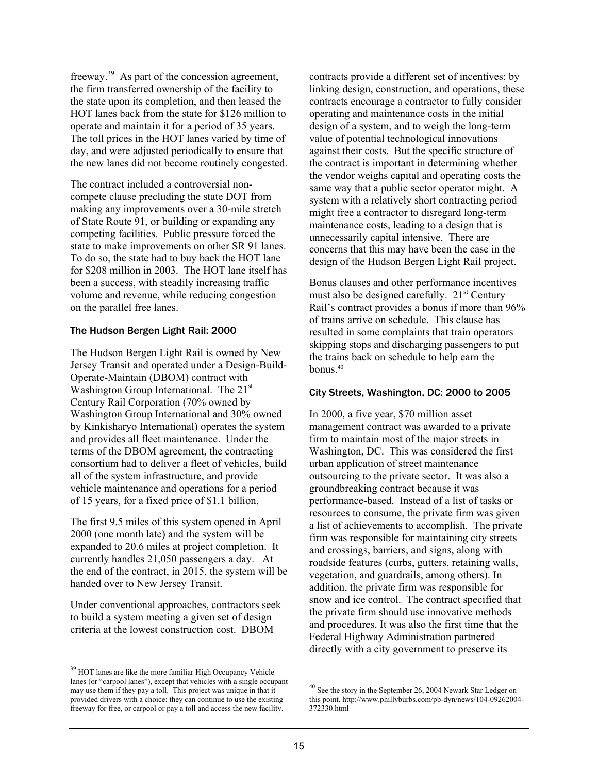freeway.39 As part of the concession agreement, the firm transferred ownership of the facility to the state upon its completion, and then leased the HOT lanes back from the state for \$126 million to operate and maintain it for a period of 35 years. The toll prices in the HOT lanes varied by time of day, and were adjusted periodically to ensure that the new lanes did not become routinely congested.

The contract included a controversial noncompete clause precluding the state DOT from making any improvements over a 30-mile stretch of State Route 91, or building or expanding any competing facilities. Public pressure forced the state to make improvements on other SR 91 lanes. To do so, the state had to buy back the HOT lane for \$208 million in 2003. The HOT lane itself has been a success, with steadily increasing traffic volume and revenue, while reducing congestion on the parallel free lanes.

## The Hudson Bergen Light Rail: 2000

The Hudson Bergen Light Rail is owned by New Jersey Transit and operated under a Design-Build-Operate-Maintain (DBOM) contract with Washington Group International. The 21<sup>st</sup> Century Rail Corporation (70% owned by Washington Group International and 30% owned by Kinkisharyo International) operates the system and provides all fleet maintenance. Under the terms of the DBOM agreement, the contracting consortium had to deliver a fleet of vehicles, build all of the system infrastructure, and provide vehicle maintenance and operations for a period of 15 years, for a fixed price of \$1.1 billion.

The first 9.5 miles of this system opened in April 2000 (one month late) and the system will be expanded to 20.6 miles at project completion. It currently handles 21,050 passengers a day. At the end of the contract, in 2015, the system will be handed over to New Jersey Transit.

Under conventional approaches, contractors seek to build a system meeting a given set of design criteria at the lowest construction cost. DBOM

l

contracts provide a different set of incentives: by linking design, construction, and operations, these contracts encourage a contractor to fully consider operating and maintenance costs in the initial design of a system, and to weigh the long-term value of potential technological innovations against their costs. But the specific structure of the contract is important in determining whether the vendor weighs capital and operating costs the same way that a public sector operator might. A system with a relatively short contracting period might free a contractor to disregard long-term maintenance costs, leading to a design that is unnecessarily capital intensive. There are concerns that this may have been the case in the design of the Hudson Bergen Light Rail project.

Bonus clauses and other performance incentives must also be designed carefully. 21<sup>st</sup> Century Rail's contract provides a bonus if more than 96% of trains arrive on schedule. This clause has resulted in some complaints that train operators skipping stops and discharging passengers to put the trains back on schedule to help earn the  $h$ onus.<sup>40</sup>

## City Streets, Washington, DC: 2000 to 2005

In 2000, a five year, \$70 million asset management contract was awarded to a private firm to maintain most of the major streets in Washington, DC. This was considered the first urban application of street maintenance outsourcing to the private sector. It was also a groundbreaking contract because it was performance-based. Instead of a list of tasks or resources to consume, the private firm was given a list of achievements to accomplish. The private firm was responsible for maintaining city streets and crossings, barriers, and signs, along with roadside features (curbs, gutters, retaining walls, vegetation, and guardrails, among others). In addition, the private firm was responsible for snow and ice control. The contract specified that the private firm should use innovative methods and procedures. It was also the first time that the Federal Highway Administration partnered directly with a city government to preserve its

 $\overline{a}$ 

<sup>&</sup>lt;sup>39</sup> HOT lanes are like the more familiar High Occupancy Vehicle lanes (or "carpool lanes"), except that vehicles with a single occupant may use them if they pay a toll. This project was unique in that it provided drivers with a choice: they can continue to use the existing freeway for free, or carpool or pay a toll and access the new facility.

<sup>40</sup> See the story in the September 26, 2004 Newark Star Ledger on this point. http://www.phillyburbs.com/pb-dyn/news/104-09262004- 372330.html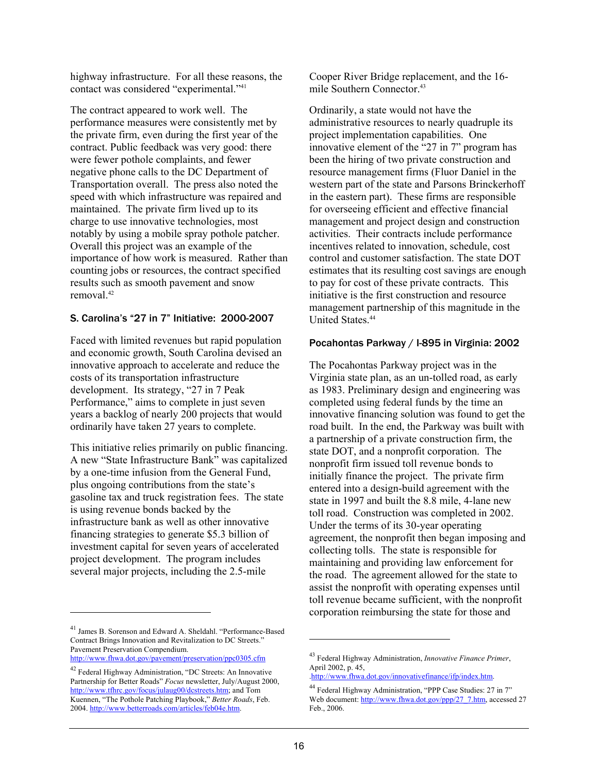highway infrastructure. For all these reasons, the contact was considered "experimental."41

The contract appeared to work well. The performance measures were consistently met by the private firm, even during the first year of the contract. Public feedback was very good: there were fewer pothole complaints, and fewer negative phone calls to the DC Department of Transportation overall. The press also noted the speed with which infrastructure was repaired and maintained. The private firm lived up to its charge to use innovative technologies, most notably by using a mobile spray pothole patcher. Overall this project was an example of the importance of how work is measured. Rather than counting jobs or resources, the contract specified results such as smooth pavement and snow removal<sup>42</sup>

## S. Carolina's "27 in 7" Initiative: 2000-2007

Faced with limited revenues but rapid population and economic growth, South Carolina devised an innovative approach to accelerate and reduce the costs of its transportation infrastructure development. Its strategy, "27 in 7 Peak Performance," aims to complete in just seven years a backlog of nearly 200 projects that would ordinarily have taken 27 years to complete.

This initiative relies primarily on public financing. A new "State Infrastructure Bank" was capitalized by a one-time infusion from the General Fund, plus ongoing contributions from the state's gasoline tax and truck registration fees. The state is using revenue bonds backed by the infrastructure bank as well as other innovative financing strategies to generate \$5.3 billion of investment capital for seven years of accelerated project development. The program includes several major projects, including the 2.5-mile

Cooper River Bridge replacement, and the 16 mile Southern Connector.<sup>43</sup>

Ordinarily, a state would not have the administrative resources to nearly quadruple its project implementation capabilities. One innovative element of the "27 in 7" program has been the hiring of two private construction and resource management firms (Fluor Daniel in the western part of the state and Parsons Brinckerhoff in the eastern part). These firms are responsible for overseeing efficient and effective financial management and project design and construction activities. Their contracts include performance incentives related to innovation, schedule, cost control and customer satisfaction. The state DOT estimates that its resulting cost savings are enough to pay for cost of these private contracts. This initiative is the first construction and resource management partnership of this magnitude in the United States<sup>44</sup>

#### Pocahontas Parkway / I-895 in Virginia: 2002

The Pocahontas Parkway project was in the Virginia state plan, as an un-tolled road, as early as 1983. Preliminary design and engineering was completed using federal funds by the time an innovative financing solution was found to get the road built. In the end, the Parkway was built with a partnership of a private construction firm, the state DOT, and a nonprofit corporation. The nonprofit firm issued toll revenue bonds to initially finance the project. The private firm entered into a design-build agreement with the state in 1997 and built the 8.8 mile, 4-lane new toll road. Construction was completed in 2002. Under the terms of its 30-year operating agreement, the nonprofit then began imposing and collecting tolls. The state is responsible for maintaining and providing law enforcement for the road. The agreement allowed for the state to assist the nonprofit with operating expenses until toll revenue became sufficient, with the nonprofit corporation reimbursing the state for those and

l

<sup>41</sup> James B. Sorenson and Edward A. Sheldahl. "Performance-Based Contract Brings Innovation and Revitalization to DC Streets." Pavement Preservation Compendium.

http://www.fhwa.dot.gov/pavement/preservation/ppc0305.cfm

<sup>42</sup> Federal Highway Administration, "DC Streets: An Innovative Partnership for Better Roads" *Focus* newsletter, July/August 2000, http://www.tfhrc.gov/focus/julaug00/dcstreets.htm; and Tom Kuennen, "The Pothole Patching Playbook," *Better Roads*, Feb. 2004. http://www.betterroads.com/articles/feb04e.htm.

<sup>43</sup> Federal Highway Administration, *Innovative Finance Primer*, April 2002, p. 45,

<sup>.</sup>http://www.fhwa.dot.gov/innovativefinance/ifp/index.htm.

<sup>44</sup> Federal Highway Administration, "PPP Case Studies: 27 in 7" Web document: http://www.fhwa.dot.gov/ppp/27\_7.htm, accessed 27 Feb., 2006.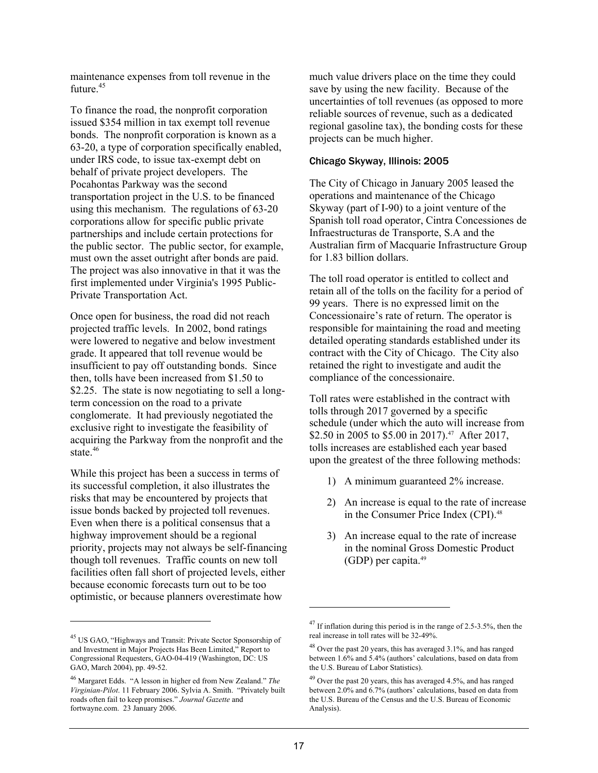maintenance expenses from toll revenue in the future $45$ 

To finance the road, the nonprofit corporation issued \$354 million in tax exempt toll revenue bonds. The nonprofit corporation is known as a 63-20, a type of corporation specifically enabled, under IRS code, to issue tax-exempt debt on behalf of private project developers. The Pocahontas Parkway was the second transportation project in the U.S. to be financed using this mechanism. The regulations of 63-20 corporations allow for specific public private partnerships and include certain protections for the public sector. The public sector, for example, must own the asset outright after bonds are paid. The project was also innovative in that it was the first implemented under Virginia's 1995 Public-Private Transportation Act.

Once open for business, the road did not reach projected traffic levels. In 2002, bond ratings were lowered to negative and below investment grade. It appeared that toll revenue would be insufficient to pay off outstanding bonds. Since then, tolls have been increased from \$1.50 to \$2.25. The state is now negotiating to sell a longterm concession on the road to a private conglomerate. It had previously negotiated the exclusive right to investigate the feasibility of acquiring the Parkway from the nonprofit and the state.<sup>46</sup>

While this project has been a success in terms of its successful completion, it also illustrates the risks that may be encountered by projects that issue bonds backed by projected toll revenues. Even when there is a political consensus that a highway improvement should be a regional priority, projects may not always be self-financing though toll revenues. Traffic counts on new toll facilities often fall short of projected levels, either because economic forecasts turn out to be too optimistic, or because planners overestimate how

1

much value drivers place on the time they could save by using the new facility. Because of the uncertainties of toll revenues (as opposed to more reliable sources of revenue, such as a dedicated regional gasoline tax), the bonding costs for these projects can be much higher.

## Chicago Skyway, Illinois: 2005

The City of Chicago in January 2005 leased the operations and maintenance of the Chicago Skyway (part of I-90) to a joint venture of the Spanish toll road operator, Cintra Concessiones de Infraestructuras de Transporte, S.A and the Australian firm of Macquarie Infrastructure Group for 1.83 billion dollars.

The toll road operator is entitled to collect and retain all of the tolls on the facility for a period of 99 years. There is no expressed limit on the Concessionaire's rate of return. The operator is responsible for maintaining the road and meeting detailed operating standards established under its contract with the City of Chicago. The City also retained the right to investigate and audit the compliance of the concessionaire.

Toll rates were established in the contract with tolls through 2017 governed by a specific schedule (under which the auto will increase from \$2.50 in 2005 to \$5.00 in 2017).<sup>47</sup> After 2017, tolls increases are established each year based upon the greatest of the three following methods:

- 1) A minimum guaranteed 2% increase.
- 2) An increase is equal to the rate of increase in the Consumer Price Index (CPI).<sup>48</sup>
- 3) An increase equal to the rate of increase in the nominal Gross Domestic Product (GDP) per capita.49

<sup>45</sup> US GAO, "Highways and Transit: Private Sector Sponsorship of and Investment in Major Projects Has Been Limited," Report to Congressional Requesters, GAO-04-419 (Washington, DC: US GAO, March 2004), pp. 49-52.

<sup>46</sup> Margaret Edds. "A lesson in higher ed from New Zealand." *The Virginian-Pilot*. 11 February 2006. Sylvia A. Smith. "Privately built roads often fail to keep promises." *Journal Gazette* and fortwayne.com. 23 January 2006.

<sup>47</sup> If inflation during this period is in the range of 2.5-3.5%, then the real increase in toll rates will be 32-49%.

<sup>48</sup> Over the past 20 years, this has averaged 3.1%, and has ranged between 1.6% and 5.4% (authors' calculations, based on data from the U.S. Bureau of Labor Statistics).

 $49$  Over the past 20 years, this has averaged 4.5%, and has ranged between 2.0% and 6.7% (authors' calculations, based on data from the U.S. Bureau of the Census and the U.S. Bureau of Economic Analysis).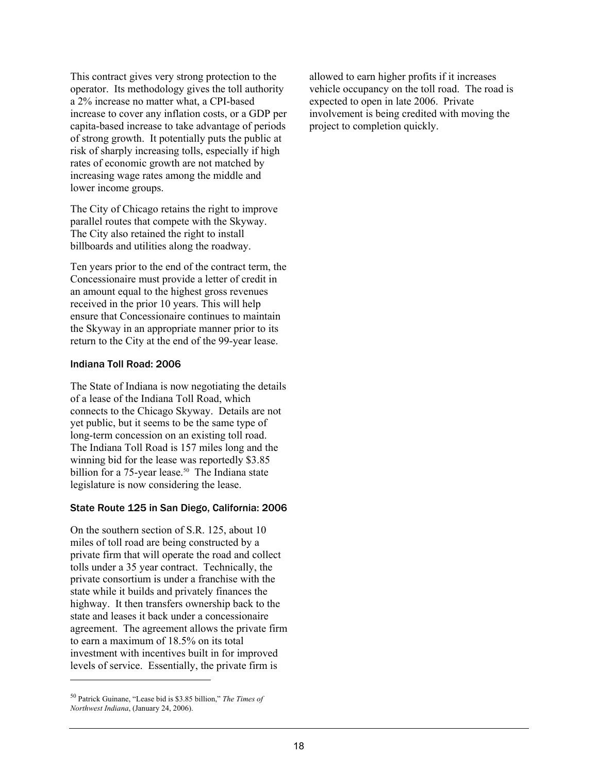This contract gives very strong protection to the operator. Its methodology gives the toll authority a 2% increase no matter what, a CPI-based increase to cover any inflation costs, or a GDP per capita-based increase to take advantage of periods of strong growth. It potentially puts the public at risk of sharply increasing tolls, especially if high rates of economic growth are not matched by increasing wage rates among the middle and lower income groups.

The City of Chicago retains the right to improve parallel routes that compete with the Skyway. The City also retained the right to install billboards and utilities along the roadway.

Ten years prior to the end of the contract term, the Concessionaire must provide a letter of credit in an amount equal to the highest gross revenues received in the prior 10 years. This will help ensure that Concessionaire continues to maintain the Skyway in an appropriate manner prior to its return to the City at the end of the 99-year lease.

#### Indiana Toll Road: 2006

The State of Indiana is now negotiating the details of a lease of the Indiana Toll Road, which connects to the Chicago Skyway. Details are not yet public, but it seems to be the same type of long-term concession on an existing toll road. The Indiana Toll Road is 157 miles long and the winning bid for the lease was reportedly \$3.85 billion for a  $75$ -year lease.<sup>50</sup> The Indiana state legislature is now considering the lease.

## State Route 125 in San Diego, California: 2006

On the southern section of S.R. 125, about 10 miles of toll road are being constructed by a private firm that will operate the road and collect tolls under a 35 year contract. Technically, the private consortium is under a franchise with the state while it builds and privately finances the highway. It then transfers ownership back to the state and leases it back under a concessionaire agreement. The agreement allows the private firm to earn a maximum of 18.5% on its total investment with incentives built in for improved levels of service. Essentially, the private firm is

l

allowed to earn higher profits if it increases vehicle occupancy on the toll road. The road is expected to open in late 2006. Private involvement is being credited with moving the project to completion quickly.

<sup>50</sup> Patrick Guinane, "Lease bid is \$3.85 billion," *The Times of Northwest Indiana*, (January 24, 2006).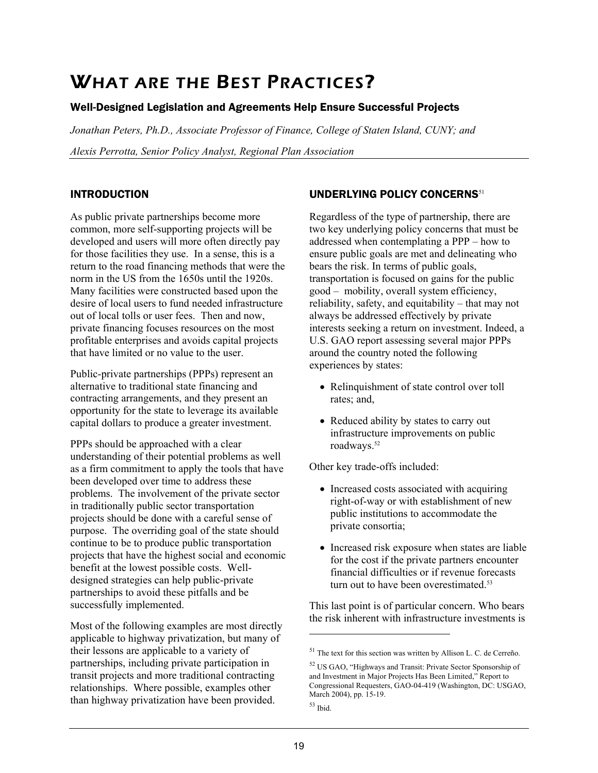# WHAT ARE THE BEST PRACTICES?

# Well-Designed Legislation and Agreements Help Ensure Successful Projects

*Jonathan Peters, Ph.D., Associate Professor of Finance, College of Staten Island, CUNY; and Alexis Perrotta, Senior Policy Analyst, Regional Plan Association* 

# INTRODUCTION

As public private partnerships become more common, more self-supporting projects will be developed and users will more often directly pay for those facilities they use. In a sense, this is a return to the road financing methods that were the norm in the US from the 1650s until the 1920s. Many facilities were constructed based upon the desire of local users to fund needed infrastructure out of local tolls or user fees. Then and now, private financing focuses resources on the most profitable enterprises and avoids capital projects that have limited or no value to the user.

Public-private partnerships (PPPs) represent an alternative to traditional state financing and contracting arrangements, and they present an opportunity for the state to leverage its available capital dollars to produce a greater investment.

PPPs should be approached with a clear understanding of their potential problems as well as a firm commitment to apply the tools that have been developed over time to address these problems. The involvement of the private sector in traditionally public sector transportation projects should be done with a careful sense of purpose. The overriding goal of the state should continue to be to produce public transportation projects that have the highest social and economic benefit at the lowest possible costs. Welldesigned strategies can help public-private partnerships to avoid these pitfalls and be successfully implemented.

Most of the following examples are most directly applicable to highway privatization, but many of their lessons are applicable to a variety of partnerships, including private participation in transit projects and more traditional contracting relationships. Where possible, examples other than highway privatization have been provided.

# UNDERLYING POLICY CONCERNS<sup>51</sup>

Regardless of the type of partnership, there are two key underlying policy concerns that must be addressed when contemplating a PPP – how to ensure public goals are met and delineating who bears the risk. In terms of public goals, transportation is focused on gains for the public good – mobility, overall system efficiency, reliability, safety, and equitability – that may not always be addressed effectively by private interests seeking a return on investment. Indeed, a U.S. GAO report assessing several major PPPs around the country noted the following experiences by states:

- Relinquishment of state control over toll rates; and,
- Reduced ability by states to carry out infrastructure improvements on public roadways.<sup>52</sup>

Other key trade-offs included:

- Increased costs associated with acquiring right-of-way or with establishment of new public institutions to accommodate the private consortia;
- Increased risk exposure when states are liable for the cost if the private partners encounter financial difficulties or if revenue forecasts turn out to have been overestimated.<sup>53</sup>

This last point is of particular concern. Who bears the risk inherent with infrastructure investments is

 $\overline{a}$ 

<sup>51</sup> The text for this section was written by Allison L. C. de Cerreño.

<sup>52</sup> US GAO, "Highways and Transit: Private Sector Sponsorship of and Investment in Major Projects Has Been Limited," Report to Congressional Requesters, GAO-04-419 (Washington, DC: USGAO, March 2004), pp. 15-19.

 $53$  Ibid.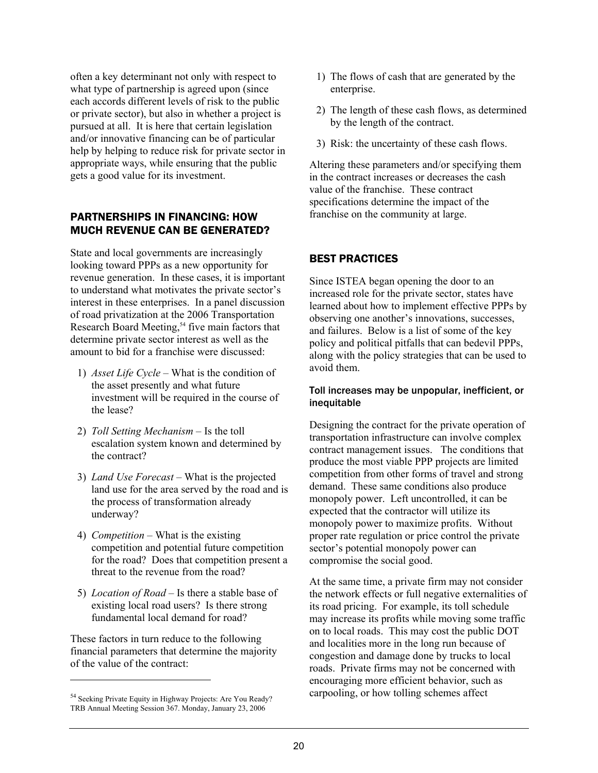often a key determinant not only with respect to what type of partnership is agreed upon (since) each accords different levels of risk to the public or private sector), but also in whether a project is pursued at all. It is here that certain legislation and/or innovative financing can be of particular help by helping to reduce risk for private sector in appropriate ways, while ensuring that the public gets a good value for its investment.

## PARTNERSHIPS IN FINANCING: HOW MUCH REVENUE CAN BE GENERATED?

State and local governments are increasingly looking toward PPPs as a new opportunity for revenue generation. In these cases, it is important to understand what motivates the private sector's interest in these enterprises. In a panel discussion of road privatization at the 2006 Transportation Research Board Meeting,<sup>54</sup> five main factors that determine private sector interest as well as the amount to bid for a franchise were discussed:

- 1) *Asset Life Cycle* What is the condition of the asset presently and what future investment will be required in the course of the lease?
- 2) *Toll Setting Mechanism* Is the toll escalation system known and determined by the contract?
- 3) *Land Use Forecast* What is the projected land use for the area served by the road and is the process of transformation already underway?
- 4) *Competition* What is the existing competition and potential future competition for the road? Does that competition present a threat to the revenue from the road?
- 5) *Location of Road* Is there a stable base of existing local road users? Is there strong fundamental local demand for road?

These factors in turn reduce to the following financial parameters that determine the majority of the value of the contract:

1

- 1) The flows of cash that are generated by the enterprise.
- 2) The length of these cash flows, as determined by the length of the contract.
- 3) Risk: the uncertainty of these cash flows.

Altering these parameters and/or specifying them in the contract increases or decreases the cash value of the franchise. These contract specifications determine the impact of the franchise on the community at large.

# BEST PRACTICES

Since ISTEA began opening the door to an increased role for the private sector, states have learned about how to implement effective PPPs by observing one another's innovations, successes, and failures. Below is a list of some of the key policy and political pitfalls that can bedevil PPPs, along with the policy strategies that can be used to avoid them.

## Toll increases may be unpopular, inefficient, or inequitable

Designing the contract for the private operation of transportation infrastructure can involve complex contract management issues. The conditions that produce the most viable PPP projects are limited competition from other forms of travel and strong demand. These same conditions also produce monopoly power. Left uncontrolled, it can be expected that the contractor will utilize its monopoly power to maximize profits. Without proper rate regulation or price control the private sector's potential monopoly power can compromise the social good.

At the same time, a private firm may not consider the network effects or full negative externalities of its road pricing. For example, its toll schedule may increase its profits while moving some traffic on to local roads. This may cost the public DOT and localities more in the long run because of congestion and damage done by trucks to local roads. Private firms may not be concerned with encouraging more efficient behavior, such as carpooling, or how tolling schemes affect

<sup>&</sup>lt;sup>54</sup> Seeking Private Equity in Highway Projects: Are You Ready? TRB Annual Meeting Session 367. Monday, January 23, 2006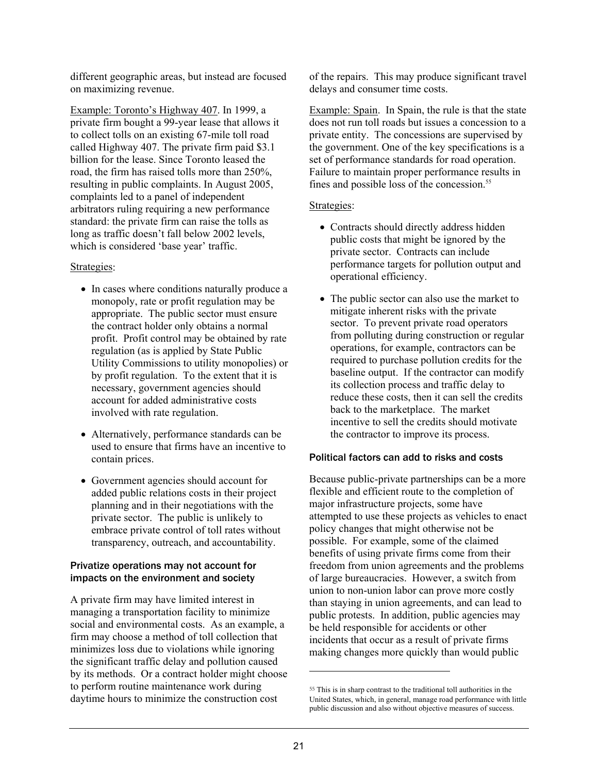different geographic areas, but instead are focused on maximizing revenue.

Example: Toronto's Highway 407. In 1999, a private firm bought a 99-year lease that allows it to collect tolls on an existing 67-mile toll road called Highway 407. The private firm paid \$3.1 billion for the lease. Since Toronto leased the road, the firm has raised tolls more than 250%, resulting in public complaints. In August 2005, complaints led to a panel of independent arbitrators ruling requiring a new performance standard: the private firm can raise the tolls as long as traffic doesn't fall below 2002 levels, which is considered 'base year' traffic.

## Strategies:

- In cases where conditions naturally produce a monopoly, rate or profit regulation may be appropriate. The public sector must ensure the contract holder only obtains a normal profit. Profit control may be obtained by rate regulation (as is applied by State Public Utility Commissions to utility monopolies) or by profit regulation. To the extent that it is necessary, government agencies should account for added administrative costs involved with rate regulation.
- Alternatively, performance standards can be used to ensure that firms have an incentive to contain prices.
- Government agencies should account for added public relations costs in their project planning and in their negotiations with the private sector. The public is unlikely to embrace private control of toll rates without transparency, outreach, and accountability.

## Privatize operations may not account for impacts on the environment and society

A private firm may have limited interest in managing a transportation facility to minimize social and environmental costs. As an example, a firm may choose a method of toll collection that minimizes loss due to violations while ignoring the significant traffic delay and pollution caused by its methods. Or a contract holder might choose to perform routine maintenance work during daytime hours to minimize the construction cost

of the repairs. This may produce significant travel delays and consumer time costs.

Example: Spain.In Spain, the rule is that the state does not run toll roads but issues a concession to a private entity. The concessions are supervised by the government. One of the key specifications is a set of performance standards for road operation. Failure to maintain proper performance results in fines and possible loss of the concession.<sup>55</sup>

## Strategies:

- Contracts should directly address hidden public costs that might be ignored by the private sector. Contracts can include performance targets for pollution output and operational efficiency.
- The public sector can also use the market to mitigate inherent risks with the private sector. To prevent private road operators from polluting during construction or regular operations, for example, contractors can be required to purchase pollution credits for the baseline output. If the contractor can modify its collection process and traffic delay to reduce these costs, then it can sell the credits back to the marketplace. The market incentive to sell the credits should motivate the contractor to improve its process.

## Political factors can add to risks and costs

Because public-private partnerships can be a more flexible and efficient route to the completion of major infrastructure projects, some have attempted to use these projects as vehicles to enact policy changes that might otherwise not be possible. For example, some of the claimed benefits of using private firms come from their freedom from union agreements and the problems of large bureaucracies. However, a switch from union to non-union labor can prove more costly than staying in union agreements, and can lead to public protests. In addition, public agencies may be held responsible for accidents or other incidents that occur as a result of private firms making changes more quickly than would public

<sup>55</sup> This is in sharp contrast to the traditional toll authorities in the United States, which, in general, manage road performance with little public discussion and also without objective measures of success.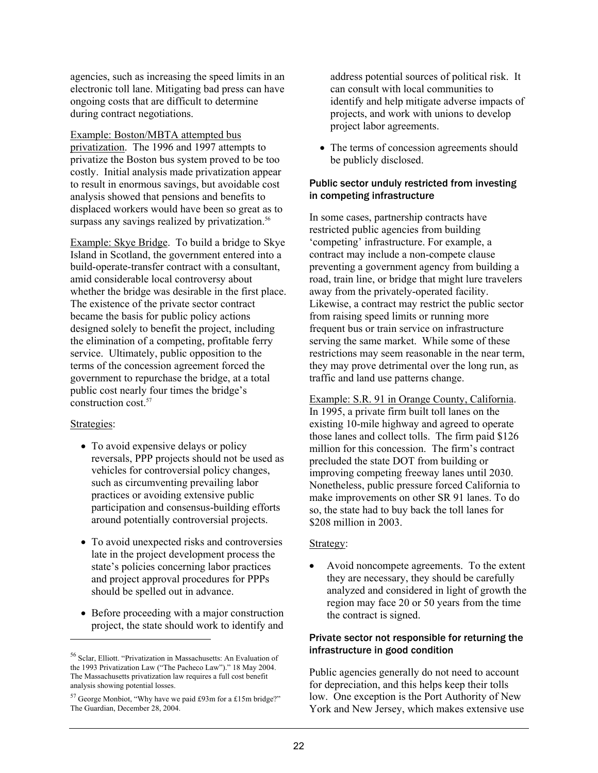agencies, such as increasing the speed limits in an electronic toll lane. Mitigating bad press can have ongoing costs that are difficult to determine during contract negotiations.

Example: Boston/MBTA attempted bus privatization. The 1996 and 1997 attempts to privatize the Boston bus system proved to be too costly. Initial analysis made privatization appear to result in enormous savings, but avoidable cost analysis showed that pensions and benefits to displaced workers would have been so great as to surpass any savings realized by privatization.<sup>56</sup>

Example: Skye Bridge. To build a bridge to Skye Island in Scotland, the government entered into a build-operate-transfer contract with a consultant, amid considerable local controversy about whether the bridge was desirable in the first place. The existence of the private sector contract became the basis for public policy actions designed solely to benefit the project, including the elimination of a competing, profitable ferry service. Ultimately, public opposition to the terms of the concession agreement forced the government to repurchase the bridge, at a total public cost nearly four times the bridge's construction cost.<sup>57</sup>

#### Strategies:

l

- To avoid expensive delays or policy reversals, PPP projects should not be used as vehicles for controversial policy changes, such as circumventing prevailing labor practices or avoiding extensive public participation and consensus-building efforts around potentially controversial projects.
- To avoid unexpected risks and controversies late in the project development process the state's policies concerning labor practices and project approval procedures for PPPs should be spelled out in advance.
- Before proceeding with a major construction project, the state should work to identify and

address potential sources of political risk. It can consult with local communities to identify and help mitigate adverse impacts of projects, and work with unions to develop project labor agreements.

• The terms of concession agreements should be publicly disclosed.

## Public sector unduly restricted from investing in competing infrastructure

In some cases, partnership contracts have restricted public agencies from building 'competing' infrastructure. For example, a contract may include a non-compete clause preventing a government agency from building a road, train line, or bridge that might lure travelers away from the privately-operated facility. Likewise, a contract may restrict the public sector from raising speed limits or running more frequent bus or train service on infrastructure serving the same market. While some of these restrictions may seem reasonable in the near term, they may prove detrimental over the long run, as traffic and land use patterns change.

Example: S.R. 91 in Orange County, California. In 1995, a private firm built toll lanes on the existing 10-mile highway and agreed to operate those lanes and collect tolls. The firm paid \$126 million for this concession. The firm's contract precluded the state DOT from building or improving competing freeway lanes until 2030. Nonetheless, public pressure forced California to make improvements on other SR 91 lanes. To do so, the state had to buy back the toll lanes for \$208 million in 2003.

## Strategy:

• Avoid noncompete agreements. To the extent they are necessary, they should be carefully analyzed and considered in light of growth the region may face 20 or 50 years from the time the contract is signed.

## Private sector not responsible for returning the infrastructure in good condition

Public agencies generally do not need to account for depreciation, and this helps keep their tolls low. One exception is the Port Authority of New York and New Jersey, which makes extensive use

<sup>56</sup> Sclar, Elliott. "Privatization in Massachusetts: An Evaluation of the 1993 Privatization Law ("The Pacheco Law")." 18 May 2004. The Massachusetts privatization law requires a full cost benefit analysis showing potential losses.

<sup>57</sup> George Monbiot, "Why have we paid £93m for a £15m bridge?" The Guardian, December 28, 2004.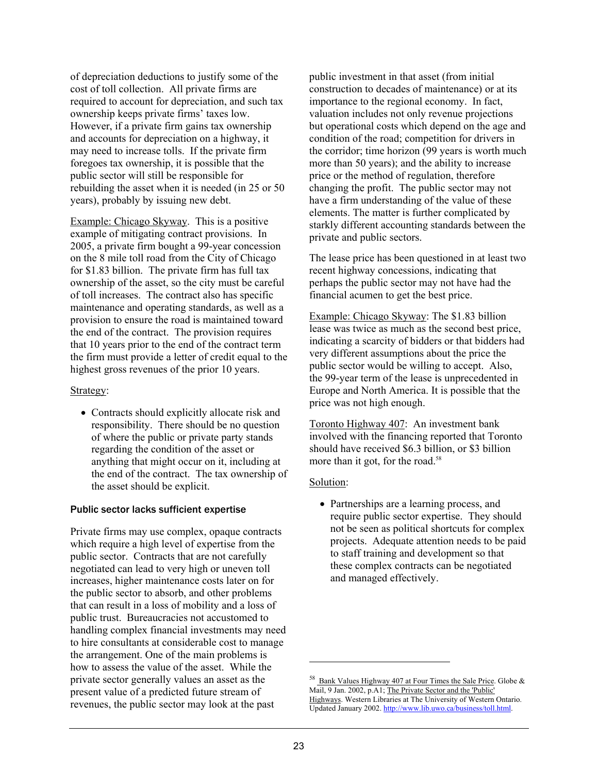of depreciation deductions to justify some of the cost of toll collection. All private firms are required to account for depreciation, and such tax ownership keeps private firms' taxes low. However, if a private firm gains tax ownership and accounts for depreciation on a highway, it may need to increase tolls. If the private firm foregoes tax ownership, it is possible that the public sector will still be responsible for rebuilding the asset when it is needed (in 25 or 50 years), probably by issuing new debt.

Example: Chicago Skyway. This is a positive example of mitigating contract provisions. In 2005, a private firm bought a 99-year concession on the 8 mile toll road from the City of Chicago for \$1.83 billion. The private firm has full tax ownership of the asset, so the city must be careful of toll increases. The contract also has specific maintenance and operating standards, as well as a provision to ensure the road is maintained toward the end of the contract. The provision requires that 10 years prior to the end of the contract term the firm must provide a letter of credit equal to the highest gross revenues of the prior 10 years.

#### Strategy:

• Contracts should explicitly allocate risk and responsibility. There should be no question of where the public or private party stands regarding the condition of the asset or anything that might occur on it, including at the end of the contract. The tax ownership of the asset should be explicit.

## Public sector lacks sufficient expertise

Private firms may use complex, opaque contracts which require a high level of expertise from the public sector. Contracts that are not carefully negotiated can lead to very high or uneven toll increases, higher maintenance costs later on for the public sector to absorb, and other problems that can result in a loss of mobility and a loss of public trust. Bureaucracies not accustomed to handling complex financial investments may need to hire consultants at considerable cost to manage the arrangement. One of the main problems is how to assess the value of the asset. While the private sector generally values an asset as the present value of a predicted future stream of revenues, the public sector may look at the past

public investment in that asset (from initial construction to decades of maintenance) or at its importance to the regional economy. In fact, valuation includes not only revenue projections but operational costs which depend on the age and condition of the road; competition for drivers in the corridor; time horizon (99 years is worth much more than 50 years); and the ability to increase price or the method of regulation, therefore changing the profit. The public sector may not have a firm understanding of the value of these elements. The matter is further complicated by starkly different accounting standards between the private and public sectors.

The lease price has been questioned in at least two recent highway concessions, indicating that perhaps the public sector may not have had the financial acumen to get the best price.

Example: Chicago Skyway: The \$1.83 billion lease was twice as much as the second best price, indicating a scarcity of bidders or that bidders had very different assumptions about the price the public sector would be willing to accept. Also, the 99-year term of the lease is unprecedented in Europe and North America. It is possible that the price was not high enough.

Toronto Highway 407: An investment bank involved with the financing reported that Toronto should have received \$6.3 billion, or \$3 billion more than it got, for the road.<sup>58</sup>

## Solution:

• Partnerships are a learning process, and require public sector expertise. They should not be seen as political shortcuts for complex projects. Adequate attention needs to be paid to staff training and development so that these complex contracts can be negotiated and managed effectively.

<sup>58</sup> Bank Values Highway 407 at Four Times the Sale Price. Globe & Mail, 9 Jan. 2002, p.A1; The Private Sector and the 'Public' Highways. Western Libraries at The University of Western Ontario. Updated January 2002. http://www.lib.uwo.ca/business/toll.html.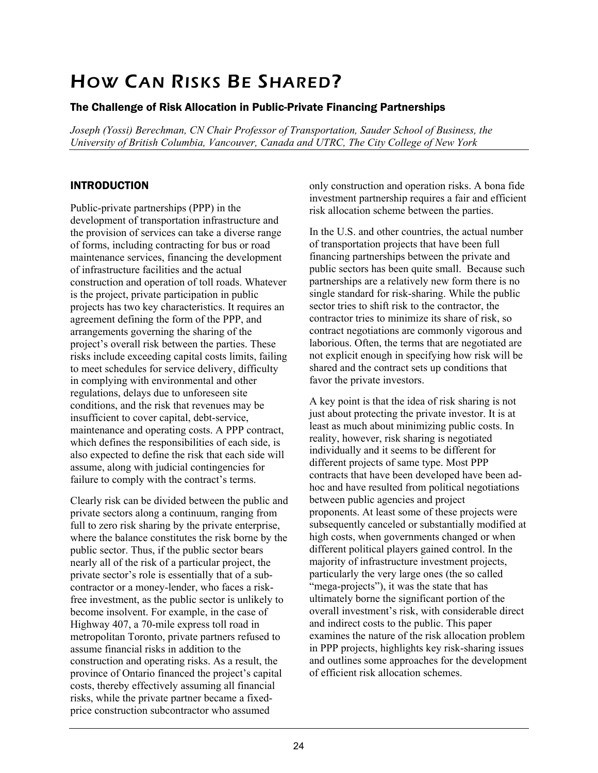# HOW CAN RISKS BE SHARED?

# The Challenge of Risk Allocation in Public-Private Financing Partnerships

*Joseph (Yossi) Berechman, CN Chair Professor of Transportation, Sauder School of Business, the University of British Columbia, Vancouver, Canada and UTRC, The City College of New York* 

# INTRODUCTION

Public-private partnerships (PPP) in the development of transportation infrastructure and the provision of services can take a diverse range of forms, including contracting for bus or road maintenance services, financing the development of infrastructure facilities and the actual construction and operation of toll roads. Whatever is the project, private participation in public projects has two key characteristics. It requires an agreement defining the form of the PPP, and arrangements governing the sharing of the project's overall risk between the parties. These risks include exceeding capital costs limits, failing to meet schedules for service delivery, difficulty in complying with environmental and other regulations, delays due to unforeseen site conditions, and the risk that revenues may be insufficient to cover capital, debt-service, maintenance and operating costs. A PPP contract, which defines the responsibilities of each side, is also expected to define the risk that each side will assume, along with judicial contingencies for failure to comply with the contract's terms.

Clearly risk can be divided between the public and private sectors along a continuum, ranging from full to zero risk sharing by the private enterprise, where the balance constitutes the risk borne by the public sector. Thus, if the public sector bears nearly all of the risk of a particular project, the private sector's role is essentially that of a subcontractor or a money-lender, who faces a riskfree investment, as the public sector is unlikely to become insolvent. For example, in the case of Highway 407, a 70-mile express toll road in metropolitan Toronto, private partners refused to assume financial risks in addition to the construction and operating risks. As a result, the province of Ontario financed the project's capital costs, thereby effectively assuming all financial risks, while the private partner became a fixedprice construction subcontractor who assumed

only construction and operation risks. A bona fide investment partnership requires a fair and efficient risk allocation scheme between the parties.

In the U.S. and other countries, the actual number of transportation projects that have been full financing partnerships between the private and public sectors has been quite small. Because such partnerships are a relatively new form there is no single standard for risk-sharing. While the public sector tries to shift risk to the contractor, the contractor tries to minimize its share of risk, so contract negotiations are commonly vigorous and laborious. Often, the terms that are negotiated are not explicit enough in specifying how risk will be shared and the contract sets up conditions that favor the private investors.

A key point is that the idea of risk sharing is not just about protecting the private investor. It is at least as much about minimizing public costs. In reality, however, risk sharing is negotiated individually and it seems to be different for different projects of same type. Most PPP contracts that have been developed have been adhoc and have resulted from political negotiations between public agencies and project proponents. At least some of these projects were subsequently canceled or substantially modified at high costs, when governments changed or when different political players gained control. In the majority of infrastructure investment projects, particularly the very large ones (the so called "mega-projects"), it was the state that has ultimately borne the significant portion of the overall investment's risk, with considerable direct and indirect costs to the public. This paper examines the nature of the risk allocation problem in PPP projects, highlights key risk-sharing issues and outlines some approaches for the development of efficient risk allocation schemes.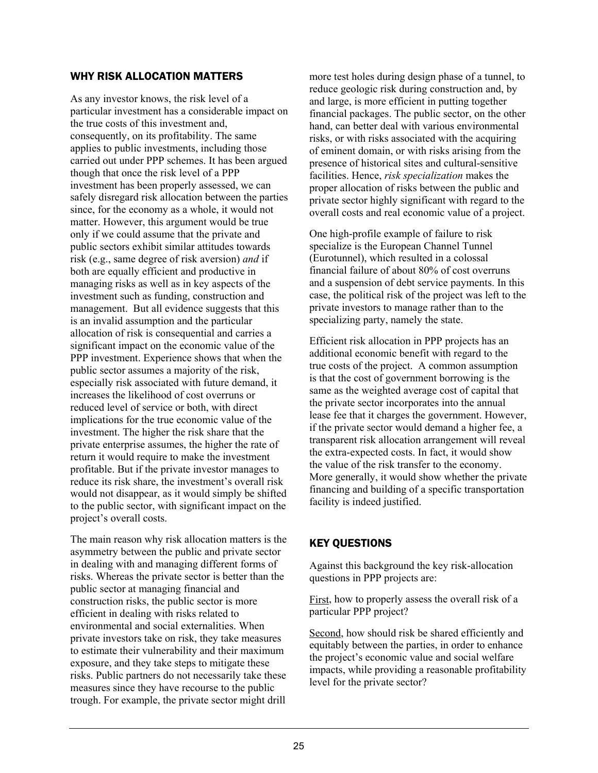## WHY RISK ALLOCATION MATTERS

As any investor knows, the risk level of a particular investment has a considerable impact on the true costs of this investment and, consequently, on its profitability. The same applies to public investments, including those carried out under PPP schemes. It has been argued though that once the risk level of a PPP investment has been properly assessed, we can safely disregard risk allocation between the parties since, for the economy as a whole, it would not matter. However, this argument would be true only if we could assume that the private and public sectors exhibit similar attitudes towards risk (e.g., same degree of risk aversion) *and* if both are equally efficient and productive in managing risks as well as in key aspects of the investment such as funding, construction and management. But all evidence suggests that this is an invalid assumption and the particular allocation of risk is consequential and carries a significant impact on the economic value of the PPP investment. Experience shows that when the public sector assumes a majority of the risk, especially risk associated with future demand, it increases the likelihood of cost overruns or reduced level of service or both, with direct implications for the true economic value of the investment. The higher the risk share that the private enterprise assumes, the higher the rate of return it would require to make the investment profitable. But if the private investor manages to reduce its risk share, the investment's overall risk would not disappear, as it would simply be shifted to the public sector, with significant impact on the project's overall costs.

The main reason why risk allocation matters is the asymmetry between the public and private sector in dealing with and managing different forms of risks. Whereas the private sector is better than the public sector at managing financial and construction risks, the public sector is more efficient in dealing with risks related to environmental and social externalities. When private investors take on risk, they take measures to estimate their vulnerability and their maximum exposure, and they take steps to mitigate these risks. Public partners do not necessarily take these measures since they have recourse to the public trough. For example, the private sector might drill

more test holes during design phase of a tunnel, to reduce geologic risk during construction and, by and large, is more efficient in putting together financial packages. The public sector, on the other hand, can better deal with various environmental risks, or with risks associated with the acquiring of eminent domain, or with risks arising from the presence of historical sites and cultural-sensitive facilities. Hence, *risk specialization* makes the proper allocation of risks between the public and private sector highly significant with regard to the overall costs and real economic value of a project.

One high-profile example of failure to risk specialize is the European Channel Tunnel (Eurotunnel), which resulted in a colossal financial failure of about 80% of cost overruns and a suspension of debt service payments. In this case, the political risk of the project was left to the private investors to manage rather than to the specializing party, namely the state.

Efficient risk allocation in PPP projects has an additional economic benefit with regard to the true costs of the project. A common assumption is that the cost of government borrowing is the same as the weighted average cost of capital that the private sector incorporates into the annual lease fee that it charges the government. However, if the private sector would demand a higher fee, a transparent risk allocation arrangement will reveal the extra-expected costs. In fact, it would show the value of the risk transfer to the economy. More generally, it would show whether the private financing and building of a specific transportation facility is indeed justified.

# KEY QUESTIONS

Against this background the key risk-allocation questions in PPP projects are:

First, how to properly assess the overall risk of a particular PPP project?

Second, how should risk be shared efficiently and equitably between the parties, in order to enhance the project's economic value and social welfare impacts, while providing a reasonable profitability level for the private sector?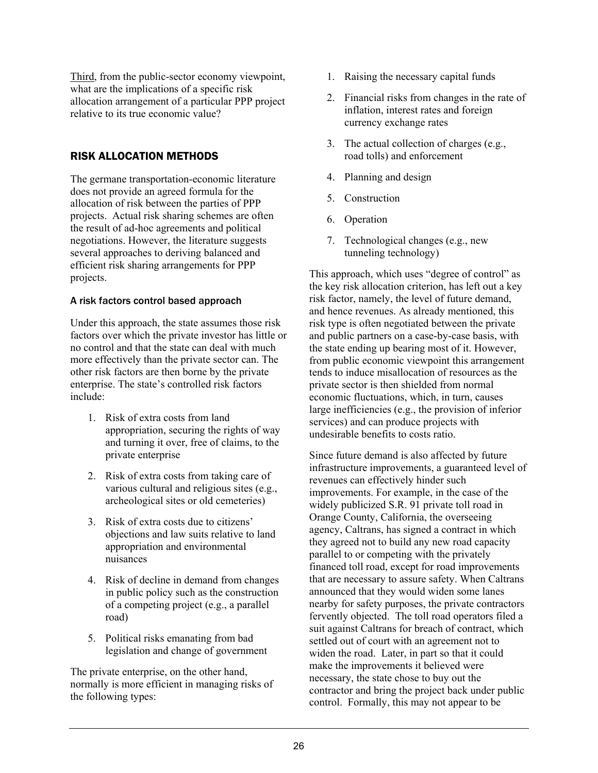Third, from the public-sector economy viewpoint, what are the implications of a specific risk allocation arrangement of a particular PPP project relative to its true economic value?

# RISK ALLOCATION METHODS

The germane transportation-economic literature does not provide an agreed formula for the allocation of risk between the parties of PPP projects. Actual risk sharing schemes are often the result of ad-hoc agreements and political negotiations. However, the literature suggests several approaches to deriving balanced and efficient risk sharing arrangements for PPP projects.

## A risk factors control based approach

Under this approach, the state assumes those risk factors over which the private investor has little or no control and that the state can deal with much more effectively than the private sector can. The other risk factors are then borne by the private enterprise. The state's controlled risk factors include:

- 1. Risk of extra costs from land appropriation, securing the rights of way and turning it over, free of claims, to the private enterprise
- 2. Risk of extra costs from taking care of various cultural and religious sites (e.g., archeological sites or old cemeteries)
- 3. Risk of extra costs due to citizens' objections and law suits relative to land appropriation and environmental nuisances
- 4. Risk of decline in demand from changes in public policy such as the construction of a competing project (e.g., a parallel road)
- 5. Political risks emanating from bad legislation and change of government

The private enterprise, on the other hand, normally is more efficient in managing risks of the following types:

- 1. Raising the necessary capital funds
- 2. Financial risks from changes in the rate of inflation, interest rates and foreign currency exchange rates
- 3. The actual collection of charges (e.g., road tolls) and enforcement
- 4. Planning and design
- 5. Construction
- 6. Operation
- 7. Technological changes (e.g., new tunneling technology)

This approach, which uses "degree of control" as the key risk allocation criterion, has left out a key risk factor, namely, the level of future demand, and hence revenues. As already mentioned, this risk type is often negotiated between the private and public partners on a case-by-case basis, with the state ending up bearing most of it. However, from public economic viewpoint this arrangement tends to induce misallocation of resources as the private sector is then shielded from normal economic fluctuations, which, in turn, causes large inefficiencies (e.g., the provision of inferior services) and can produce projects with undesirable benefits to costs ratio.

Since future demand is also affected by future infrastructure improvements, a guaranteed level of revenues can effectively hinder such improvements. For example, in the case of the widely publicized S.R. 91 private toll road in Orange County, California, the overseeing agency, Caltrans, has signed a contract in which they agreed not to build any new road capacity parallel to or competing with the privately financed toll road, except for road improvements that are necessary to assure safety. When Caltrans announced that they would widen some lanes nearby for safety purposes, the private contractors fervently objected. The toll road operators filed a suit against Caltrans for breach of contract, which settled out of court with an agreement not to widen the road. Later, in part so that it could make the improvements it believed were necessary, the state chose to buy out the contractor and bring the project back under public control. Formally, this may not appear to be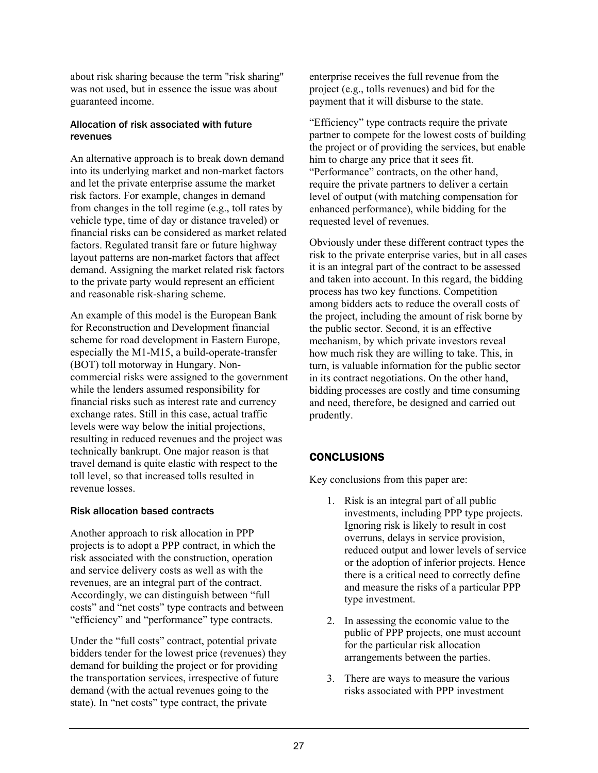about risk sharing because the term "risk sharing" was not used, but in essence the issue was about guaranteed income.

## Allocation of risk associated with future revenues

An alternative approach is to break down demand into its underlying market and non-market factors and let the private enterprise assume the market risk factors. For example, changes in demand from changes in the toll regime (e.g., toll rates by vehicle type, time of day or distance traveled) or financial risks can be considered as market related factors. Regulated transit fare or future highway layout patterns are non-market factors that affect demand. Assigning the market related risk factors to the private party would represent an efficient and reasonable risk-sharing scheme.

An example of this model is the European Bank for Reconstruction and Development financial scheme for road development in Eastern Europe, especially the M1-M15, a build-operate-transfer (BOT) toll motorway in Hungary. Noncommercial risks were assigned to the government while the lenders assumed responsibility for financial risks such as interest rate and currency exchange rates. Still in this case, actual traffic levels were way below the initial projections, resulting in reduced revenues and the project was technically bankrupt. One major reason is that travel demand is quite elastic with respect to the toll level, so that increased tolls resulted in revenue losses.

## Risk allocation based contracts

Another approach to risk allocation in PPP projects is to adopt a PPP contract, in which the risk associated with the construction, operation and service delivery costs as well as with the revenues, are an integral part of the contract. Accordingly, we can distinguish between "full costs" and "net costs" type contracts and between "efficiency" and "performance" type contracts.

Under the "full costs" contract, potential private bidders tender for the lowest price (revenues) they demand for building the project or for providing the transportation services, irrespective of future demand (with the actual revenues going to the state). In "net costs" type contract, the private

enterprise receives the full revenue from the project (e.g., tolls revenues) and bid for the payment that it will disburse to the state.

"Efficiency" type contracts require the private partner to compete for the lowest costs of building the project or of providing the services, but enable him to charge any price that it sees fit. "Performance" contracts, on the other hand, require the private partners to deliver a certain level of output (with matching compensation for enhanced performance), while bidding for the requested level of revenues.

Obviously under these different contract types the risk to the private enterprise varies, but in all cases it is an integral part of the contract to be assessed and taken into account. In this regard, the bidding process has two key functions. Competition among bidders acts to reduce the overall costs of the project, including the amount of risk borne by the public sector. Second, it is an effective mechanism, by which private investors reveal how much risk they are willing to take. This, in turn, is valuable information for the public sector in its contract negotiations. On the other hand, bidding processes are costly and time consuming and need, therefore, be designed and carried out prudently.

# **CONCLUSIONS**

Key conclusions from this paper are:

- 1. Risk is an integral part of all public investments, including PPP type projects. Ignoring risk is likely to result in cost overruns, delays in service provision, reduced output and lower levels of service or the adoption of inferior projects. Hence there is a critical need to correctly define and measure the risks of a particular PPP type investment.
- 2. In assessing the economic value to the public of PPP projects, one must account for the particular risk allocation arrangements between the parties.
- 3. There are ways to measure the various risks associated with PPP investment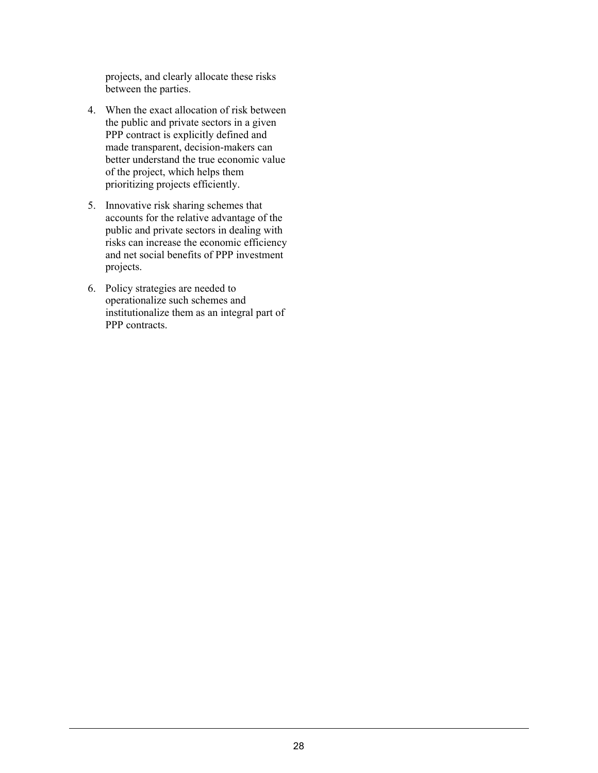projects, and clearly allocate these risks between the parties.

- 4. When the exact allocation of risk between the public and private sectors in a given PPP contract is explicitly defined and made transparent, decision-makers can better understand the true economic value of the project, which helps them prioritizing projects efficiently.
- 5. Innovative risk sharing schemes that accounts for the relative advantage of the public and private sectors in dealing with risks can increase the economic efficiency and net social benefits of PPP investment projects.
- 6. Policy strategies are needed to operationalize such schemes and institutionalize them as an integral part of PPP contracts.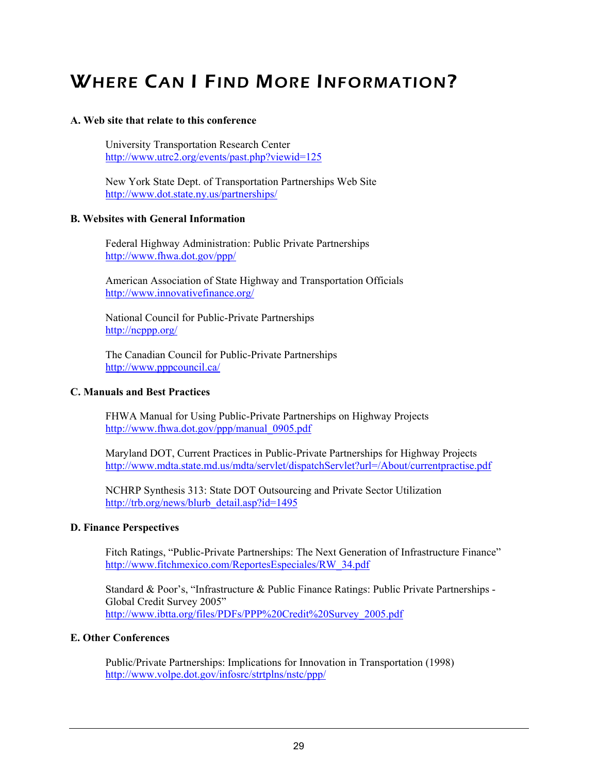# WHERE CAN I FIND MORE INFORMATION?

## **A. Web site that relate to this conference**

University Transportation Research Center http://www.utrc2.org/events/past.php?viewid=125

 New York State Dept. of Transportation Partnerships Web Site http://www.dot.state.ny.us/partnerships/

## **B. Websites with General Information**

Federal Highway Administration: Public Private Partnerships http://www.fhwa.dot.gov/ppp/

American Association of State Highway and Transportation Officials http://www.innovativefinance.org/

National Council for Public-Private Partnerships http://ncppp.org/

The Canadian Council for Public-Private Partnerships http://www.pppcouncil.ca/

## **C. Manuals and Best Practices**

FHWA Manual for Using Public-Private Partnerships on Highway Projects http://www.fhwa.dot.gov/ppp/manual\_0905.pdf

Maryland DOT, Current Practices in Public-Private Partnerships for Highway Projects http://www.mdta.state.md.us/mdta/servlet/dispatchServlet?url=/About/currentpractise.pdf

NCHRP Synthesis 313: State DOT Outsourcing and Private Sector Utilization http://trb.org/news/blurb\_detail.asp?id=1495

## **D. Finance Perspectives**

Fitch Ratings, "Public-Private Partnerships: The Next Generation of Infrastructure Finance" http://www.fitchmexico.com/ReportesEspeciales/RW\_34.pdf

Standard & Poor's, "Infrastructure & Public Finance Ratings: Public Private Partnerships - Global Credit Survey 2005" http://www.ibtta.org/files/PDFs/PPP%20Credit%20Survey\_2005.pdf

## **E. Other Conferences**

Public/Private Partnerships: Implications for Innovation in Transportation (1998) http://www.volpe.dot.gov/infosrc/strtplns/nstc/ppp/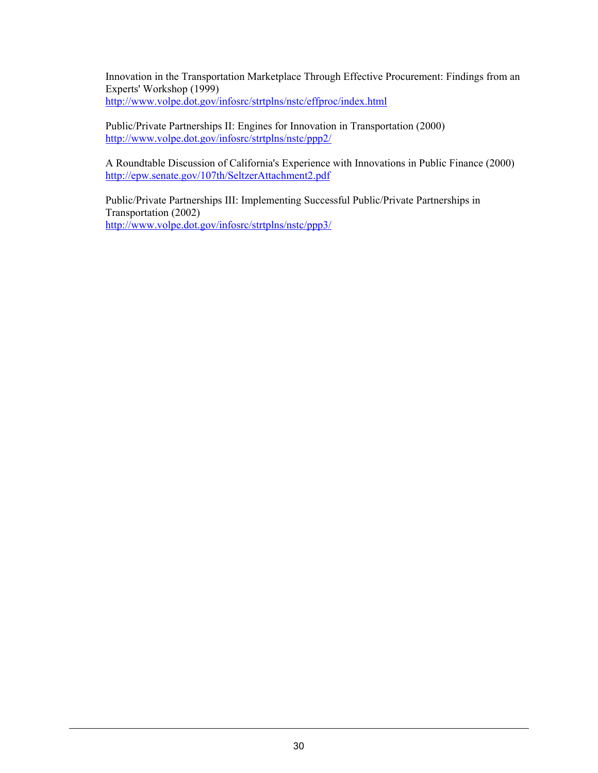Innovation in the Transportation Marketplace Through Effective Procurement: Findings from an Experts' Workshop (1999) http://www.volpe.dot.gov/infosrc/strtplns/nstc/effproc/index.html

Public/Private Partnerships II: Engines for Innovation in Transportation (2000) http://www.volpe.dot.gov/infosrc/strtplns/nstc/ppp2/

A Roundtable Discussion of California's Experience with Innovations in Public Finance (2000) http://epw.senate.gov/107th/SeltzerAttachment2.pdf

Public/Private Partnerships III: Implementing Successful Public/Private Partnerships in Transportation (2002) http://www.volpe.dot.gov/infosrc/strtplns/nstc/ppp3/